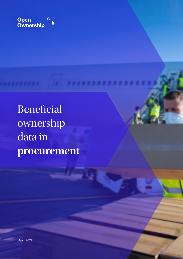

Beneficial ownership data in **procurement**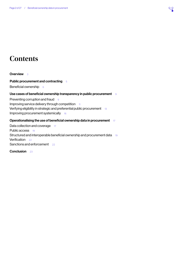# **Contents**

**[Overview](#page-2-0)** 3

[Public procurement and contracting](#page-4-0) 5

[Beneficial ownership](#page-5-0) 6

## [Use cases of beneficial ownership transparency in public procurement](#page-8-0) 9

[Preventing corruption and fraud](#page-8-0)[Improving service delivery through competition](#page-10-0) [Verifying eligibility in strategic and preferential public procurement](#page-12-0)[Improving procurement systemically](#page-15-0)

## [Operationalising the use of beneficial ownership data in procurement](#page-16-0) 17

[Data collection and coverage](#page-16-0)[Public access](#page-18-0)[Structured and interoperable beneficial ownership and procurement data](#page-18-0)[Verification](#page-21-0)[Sanctions and enforcement](#page-21-0)

[Conclusion](#page-22-0) 23

 $Q$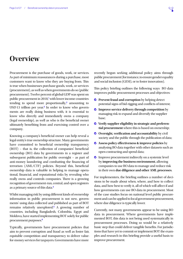# <span id="page-2-0"></span>**Overview**

Procurement is the purchase of goods, work, or services. As part of minimum reassurances during a purchase, most customers want to know who they are buying from. This is true when businesses purchase goods, work, or services (procurement), as well as when governments do so (public procurement). Twelve percent of global GDP was spent on public procurement in 20[1](#page-23-0)8,<sup>1</sup> with lower income countries tending to spend more proportionally,<sup>[2](#page-23-0)</sup> amounting to USD1[3](#page-23-0) trillion per year.<sup>3</sup> In order to know who governments are really doing business with, it is essential to know who directly and immediately owns a company (legal ownership), as well as who is the beneficial owner ultimately benefiting from and exercising control over a company.

Knowing a company's beneficial owner can help reveal a legal entity's true ownership structure. Many governments have committed to beneficial ownership transparency (BOT) – that is, the collection of companies' beneficial ownership (BO) data by governments in a register and subsequent publication for public oversight – as part of anti-money laundering and combatting the financing of terrorism (AML/CTF) policies. Beyond this, beneficial ownership data is valuable in helping to manage operational, financial, and reputational risks by revealing who really owns and controls companies. There is a growing recognition of government-run, central, and open registers as a primary source of this data.[4](#page-23-0)

Whilst managing risk by using different kinds of ownership information in public procurement is not new, governments' using data collected and published as part of BOT remains relatively unexplored.[5](#page-23-0) A growing number of countries, including Bangladesh, Colombia, Egypt and Moldova, have started implementing BOT solely for public procurement purposes.[6](#page-23-0)

Typically, governments have procurement policies that aim to prevent corruption and fraud as well as foster fair, equitable competition and transparency to deliver valuefor-money services for taxpayers. Governments have more

recently begun seeking additional policy aims through public procurement (for instance, to ensure gender equality and social inclusion (GESI), or to foster innovation).

This policy briefing outlines the following ways BO data improves public procurement processes and objectives:

- **Prevent fraud and corruption** by helping detect potential signs of bid-rigging and conflicts of interest;
- **Improve service delivery through competition** by managing risk to expand and diversify the supplier base;
- **Verify supplier eligibility in strategic and preferential procurement** where this is based on ownership;
- **C** Oversight, verification and accountability by civil society and the public through the publication of data;
- **Assess policy effectiveness & improve policies** by analysing BO data together with other datasets such as open contracting and spend data;
- **C** Improve procurement indirectly on a systemic level by **improving the business environment**, allowing companies to use BO data to manage and reduce risk in their own **due diligence and other AML processes**.

For implementers, the briefing outlines a number of decisions to be made about when, where, and how to collect data, and how best to verify it, all of which will affect if and how governments can use BO data in procurement. Most of the case studies focus on national level public procurement and can be applied to local government procurement, where due diligence is typically lower.

Currently, not many governments appear to be using BO data in procurement. Where governments have implemented BOT, this data is not being used systematically in procurement processes. Doing so would be a relatively basic step that could deliver tangible benefits. For jurisdictions that have yet to commit or implement BOT the examples and research in this briefing provide a useful basis to improve procurement.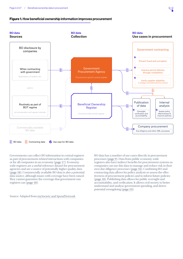#### <span id="page-3-0"></span>Figure 1. How beneficial ownership information improves procurement



Governments can collect BO information in central registers as part of procurement-related interactions with companies or for all companies in an economy [\(page 17\)](#page-16-1). Economywide registers are a useful reference dataset for procurement agencies and are a source of potentially higher quality data ([page 18](#page-17-0)). Commercially available BO data is also a potential data source, although issues with coverage have been raised. They cannot guarantee the coverage that government-run registers can [\(page 18](#page-17-1)).

Source: Adapted from [mySociety and SpendNetwork](https://www.mysociety.org/2020/07/31/collecting-and-making-use-of-beneficial-ownership-data/)

BO data has a number of use cases directly in procurement processes [\(page 9\)](#page-8-1). Data from public economy-wide registers also have indirect benefits for procurement systems as companies can use this data to manage and reduce risk in their own due diligence processes ([page 16](#page-15-1)). Combining BO and contracting data allows for policy analysis so assess the effectiveness of procurement policies and to inform future policies ([page 18](#page-17-0)). Publishing data allows for public oversight and accountability, and verification. It allows civil society to better understand and analyse government spending, and deters potential wrongdoing [\(page 19\)](#page-18-1).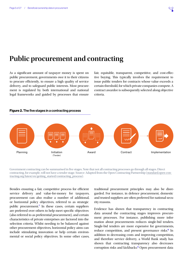# <span id="page-4-0"></span>**Public procurement and contracting**

As a significant amount of taxpayer money is spent on public procurement, governments owe it to their citizens to procure efficiently, to ensure a high quality of service delivery, and to safeguard public interests. Most procurement is regulated by both international and national legal frameworks and guided by processes that ensure

fair, equitable, transparent, competitive, and cost-effective buying. This typically involves the requirement to issue public tenders for contracts whose value exceeds a certain threshold, for which private companies compete. A contract awardee is subsequently selected along objective criteria.



#### Figure 2. The five stages in a contracting process

Government contracting can be summarised in five stages. Note that not all contracting processes go through all stages. Direct contracting, for example, will not have a tender stage. Source: Adapted from the Open Contracting Partnership [\(standard.open-con](http://standard.open-contracting.org/latest/en/getting_started/contracting_process)[tracting.org/latest/en/getting\\_started/contracting\\_process\)](http://standard.open-contracting.org/latest/en/getting_started/contracting_process).

Besides ensuring a fair, competitive process for efficient service delivery and value-for-money for taxpayers, procurement can also realise a number of additional, or horizontal policy objectives, referred to as strategic public procurement.<sup>[7](#page-23-0)</sup> In these cases, certain suppliers are preferred over others to help meet specific objectives (also referred to as preferential procurement), and certain characteristics of private enterprises are factored into the selection criteria. Whilst needing to be balanced against other procurement objectives, horizontal policy aims can include stimulating innovation or help certain environmental or social policy objectives. In some other cases, traditional procurement principles may also be disregarded. For instance, in defence procurement, domestic and trusted suppliers are often preferred for national security reasons.

Evidence has shown that transparency in contracting data around the contracting stages improves procurement processes. For instance, publishing more information about procurements reduces single-bid tenders. Single-bid tenders are more expensive for governments, reduce competition, and present governance risks.<sup>[8](#page-23-0)</sup> In addition to decreasing costs and improving competition, and therefore service delivery, a World Bank study has shown that contracting transparency also decreases corruption risks and kickbacks.[9](#page-23-0) Open procurement data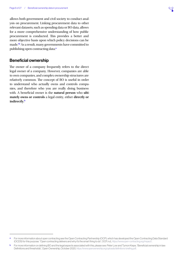<span id="page-5-0"></span>allows both government and civil society to conduct analysis on procurement. Linking procurement data to other relevant datasets, such as spending data or BO data, allows for a more comprehensive understanding of how public procurement is conducted. This provides a better and more objective basis upon which policy decisions can be made.[10](#page-23-0) As a result, many governments have committed to publishing open contracting data.<sup>a</sup>

## Beneficial ownership

The owner of a company frequently refers to the direct legal owner of a company. However, companies are able to own companies, and complex ownership structures are relatively common. The concept of BO is useful in order to understand who actually owns and controls companies, and therefore who you are really doing business with. A beneficial owner is the **natural person** who **ultimately owns or controls** a legal entity, either **directly or indirectly**. b

a For more information about open contracting see the Open Contracting Partnership (OCP), which has developed the Open Contracting Data Standard (OCDS) for this purpose. "Open contracting delivers and why it's the smart thing to do", OCP, n.d., <https://www.open-contracting.org/impact/>.

b For more information on defining BO and the legal aspects associated with this, please see: Peter Low and Tymon Kiepe, "Beneficial ownership in law: Definitions and thresholds", Open Ownership, October 2020, <https://www.openownership.org/uploads/definitions-briefing.pdf>.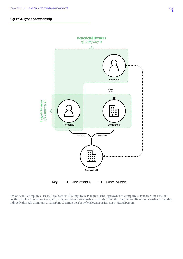### Figure 3. Types of ownership



Person A and Company C are the legal owners of Company D. Person B is the legal owner of Company C. Person A and Person B are the beneficial owners of Company D. Person A exercises his/her ownership directly, while Person B exercises his/her ownership indirectly through Company C. Company C cannot be a beneficial owner as it is not a natural person.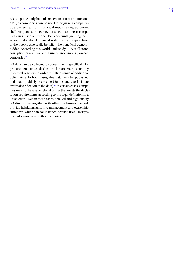<span id="page-7-0"></span>BO is a particularly helpful concept in anti-corruption and AML, as companies can be used to disguise a company's true ownership (for instance, through setting up parent shell companies in secrecy jurisdictions). These companies can subsequently open bank accounts, granting them access to the global financial system whilst keeping links to the people who really benefit – the beneficial owners – hidden. According to a World Bank study, 70% of all grand corruption cases involve the use of anonymously owned companies.<sup>[11](#page-23-0)</sup>

BO data can be collected by governments specifically for procurement, or as disclosures for an entire economy in central registers in order to fulfil a range of additional policy aims. In both cases, this data may be published and made publicly accessible (for instance, to facilitate external verification of the data).<sup>[12](#page-23-0)</sup> In certain cases, companies may not have a beneficial owner that meets the declaration requirements according to the legal definition in a jurisdiction. Even in these cases, detailed and high quality BO disclosures, together with other disclosures, can still provide helpful insights into management and ownership structures, which can, for instance, provide useful insights into risks associated with subsidiaries.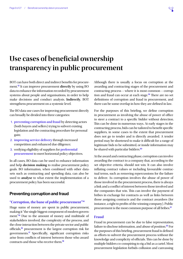# <span id="page-8-1"></span><span id="page-8-0"></span>**Use cases of beneficial ownership transparency in public procurement**

BOT can have both direct and indirect benefits for procurement.[13](#page-23-0) It can improve procurement **directly** by using BO data to enhance the information recorded by procurement systems about people and organisations, in order to help make decisions and conduct analysis. **Indirectly**, BOT strengthens procurement on a systemic level.

The BO data use cases for improving procurement directly can broadly be divided into three categories:

- 1. **preventing corruption and fraud** by detecting actors (both buyers and sellers) trying to subvert existing legislation and the contracting procedure for personal gain;
- 2. **improving service delivery** through increased competition and enhanced due diligence;
- 3. verifying eligibility of suppliers for **preferential procurement** to meet horizontal policy objectives.

In all cases, BO data can be used to enhance information and help **decision making** to realise procurement policy goals. BO information, when combined with other datasets such as contracting and spending data, can also be used to **analyse** to what extent the implementation of a procurement policy has been successful.

# Preventing corruption and fraud

#### **"Corruption, the bane of public procurement"**[14](#page-23-0)

Huge sums of money are spent in public procurement, making it "the single biggest component of modern govern-ment."<sup>[15](#page-23-0)</sup> Due to the amount of money and multitude of stakeholders involved, the complexity of the process, and the close interaction between the private sector and public officials,[16](#page-23-0) procurement is the largest corruption risk for governments.[17](#page-23-0) Specifically, significant corruption risks arise from conflicts of interest between those who award contracts and those who receive them.<sup>[18](#page-23-0)</sup>

Although there is usually a focus on corruption at the awarding and contracting stages of the procurement and contracting process – where it is most common – corrup-tion and fraud can occur at each stage.<sup>[19](#page-23-0)</sup> There are no set definitions of corruption and fraud in procurement, and there can be some overlap in how they are defined in law.

For the purposes of this briefing, we define corruption in procurement as involving the abuse of power of office to steer a contract to a specific bidder without detection. This can be done in numerous ways. At early stages in the contracting process, bids can be tailored to benefit specific suppliers, in some cases to the extent that procurement does not go to tender and is directly awarded. A tender period may be shortened to make it difficult for a range of legitimate bids to be submitted, or inside information may be shared with particular bidders.<sup>[20](#page-23-0)</sup>

At the award and contracting phase, corruption can involve awarding the contract to a company that, according to the set objective criteria, should not win. It can also involve inflating contract values or including favourable contractual terms, such as removing repercussions for the failure to deliver. As corruption involves the abuse of power of those involved in the procurement process, there is always a link and a conflict of interest between those involved and the companies that win. This can involve the payment of bribes in exchange for contracts as well as links between those assigning contracts and the contract awardees (for instance, a right to profits of the winning company). Public procurement is the most common purpose of all bribes.<sup>[21](#page-23-0)</sup>

## **Fraud**

Fraud in procurement can be due to false representation, failure to disclose information, and abuse of position.<sup>[22](#page-23-0)</sup> For the purposes of this briefing, procurement fraud is defined as efforts to subvert the procurement process without the knowledge and complicity of officials. This can be done by multiple bidders co-conspiring to rig a bid as a cartel. Most procurement legislation forbids collusion and canvassing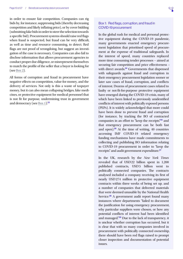<span id="page-9-1"></span>in order to ensure fair competition. Companies can rig bids by, for instance, suppressing bids (thereby decreasing competition and likely inflating price), or by cover bidding (submitting fake bids in order to steer the selection towards a specific bid). Procurement systems should raise red flags when fraud is suspected, but fraud can be very difficult, as well as time and resource consuming, to detect. Red flags are not proof of wrongdoing, but suggest an investigation of the case is necessary. Companies can also fail to disclose information that allows procurement agencies to conduct proper due diligence, or misrepresent themselves to match the profile of the seller that a buyer is looking for (see [Box 2\)](#page-12-1).

All forms of corruption and fraud in procurement have negative effects on competition, value-for-money, and the delivery of services. Not only is this a waste of taxpayer money, but it can also mean collapsing bridges, fake medicines, or protective equipment for medical personnel that is not fit for purpose, undermining trust in government and democracy (see [Box 1\)](#page-9-0).[23](#page-23-0)

## <span id="page-9-0"></span>Box 1: Red flags, corruption, and fraud in COVID-19 procurement

In the global rush for medical and personal protective equipment during the COVID-19 pandemic, many governments enacted emergency procurement legislation that prioritised speed of procurement at the expense of traditional safeguards. In the interest of speed, many countries replaced more time consuming tender processes – aimed at securing fair competition and price effectiveness – with direct awards.<sup>[24](#page-23-0)</sup> Governments that dispensed with safeguards against fraud and corruption in their emergency procurement legislation sooner or later saw cases of fraud, corruption, and conflicts of interest. Dozens of procurement cases related to faulty or not-fit-for-purpose protective equipment have emerged during the COVID-19 crisis, many of which have been linked to previously unidentified conflicts of interest with politically exposed persons (PEPs). It is widely acknowledged that more could have been done to prevent fraud and corruption (for instance, by tracking the BO of contracted companies in an effort to "keep the receipts"[25](#page-23-0) and that emergency procurement can be both fast and open). $26$  At the time of writing, 40 countries accessing IMF COVID-19 related emergency funding mechanisms have made commitments to collecting and publishing BO information relating to COVID-19 procurement in order to "keep the receipts" and audit government expenditure.[27](#page-23-0)

In the UK, research by the *New York Times* revealed that of USD22 billion spent in 1,200 published contracts, USD5 billion went to politically connected companies. The contracts analysed included a company receiving its first of nearly USD274 million in protective equipment contracts within three weeks of being set up, and a number of companies that delivered materials that were deemed unusable by the National Health Service.<sup>[28](#page-23-0)</sup> A government audit report found many instances where departments "failed to document the justification for using emergency procurement, why particular suppliers were chosen, or how any potential conflicts of interest had been identified and managed."[29](#page-23-0) Due to the lack of transparency, it is unclear whether corruption has occurred, but it is clear that with so many companies involved in procurement with politically connected ownership, there should have been red flags raised to prompt closer inspection and documentation of potential issues.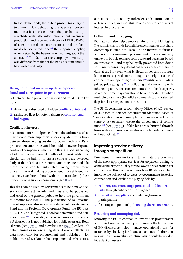<span id="page-10-0"></span>In the Netherlands, the public prosecutor charged two men with defrauding the German government in a facemask contract. The pair had set up a website with false information about facemask production and received a deposit of EUR880,000 of a EUR4.4 million contract for 11 million face-masks, but delivered none.<sup>[30](#page-23-0)</sup> The supposed supplier, when visited by the buyers, knew nothing about the contract.[31](#page-23-0) The fact that the company's ownership was different from that of the bank account should have raised red flags.

## **Using beneficial ownership data to prevent fraud and corruption in procurement**

BO data can help prevent corruption and fraud in two key ways:

- 1. detecting undisclosed or hidden **conflicts of interest**;
- 2. raising red flags for potential signs of **collusion and bid rigging**.

#### **Conflicts of interest**

BO information can help check for conflicts of interests that may escape more superficial checks by identifying links between those holding positions of power, such as PEPs or procurement authorities, and the (hidden) ownership and control of companies. When a red flag is raised, signalling a bid may have a potential conflict of interest, additional checks can be built in to ensure contracts are awarded fairly. If the BO data is structured and machine-readable, these checks can be automated, saving procurement officers time and making procurement more efficient. For instance, it can be combined with PEP data to identify their involvement in supplier companies (see [Box 1\)](#page-9-0).<sup>[32](#page-23-0)</sup>

This data can be used by governments to help make decisions on contract awards, and may also be published and used by the general public to hold the government to account (see [Box 1](#page-9-0)). The publication of BO information of suppliers also serves as a deterrent. For its Social Fund and its Regional Development Fund, the EU uses ARACHNE, an "integrated IT tool for data mining and data enrichment"<sup>[33](#page-23-0)</sup> for due diligence, which uses a commercial BO dataset but is not published for public oversight. Both Ukraine (see [Box 6](#page-18-2)) and Slovakia (see [Box 7](#page-21-1)) collect BO data themselves in central registers. Slovakia collects BO data specifically for procurement and publishes it for public oversight. Ukraine has implemented BOT across

all sectors of the economy and collects BO information on all legal entities, and uses this data to check for conflicts of interest in procurement.

#### **Collusion and bid rigging**

BO data can also help detect certain forms of bid rigging. The submission of bids from different companies that share ownership is often not illegal. In the interest of fairness and non-discrimination, procurement officers are very unlikely to be able to make contract award decisions based on ownership – and may be legally prevented from doing so. In many cases, they do not collect or access ownership data at all. However, what is illegal under antitrust legislation in most jurisdictions, though certainly not all, is if companies are operating as a cartel, $34$  artificially inflating prices, price gouging,<sup>[35](#page-23-0)</sup> or colluding and canvassing with other companies. This can sometimes be difficult to prove, so a procurement system should be able to identify when multiple bids share (beneficial) ownership, and raise red flags for closer inspection of these bids.

The US Government Accountability Office's (GAO) review of 32 cases of defence procurement identified cases of "price inflation through multiple companies owned by the same entity to falsely create the appearance of competition"[36](#page-23-0) (see [Box 4.1\)](#page-13-0). If fake bids are submitted through firms with a common owner, this is much harder to detect without BO data<sup>[37](#page-24-0)</sup>

# Improving service delivery through competition

Procurement frameworks aim to facilitate the purchase of the most appropriate services for taxpayers, aiming to achieve the highest quality for the lowest price through fair competition. This section outlines how BO data can help improve the delivery of services by governments fostering competition and leveling the playing field by:

- 1. **reducing and managing operational and financial risks** through enhanced due diligence;
- 2. **diversifying suppliers** and widening business participation;
- 3. fostering competition by **detecting shared ownership**.

#### **Reducing and managing risk**

Knowing the BO of companies involved in procurement and their broader ownership structure collected as part of BO disclosures, helps manage operational risks (for instance, by checking for financial liabilities of other entities within an ownership structure, which could be used to hide debt or losses).[38](#page-24-0)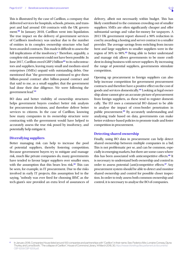<span id="page-11-0"></span>This is illustrated by the case of Carillion, a company that delivered services for hospitals, schools, prisons, and transport and had around 450 contracts with the UK govern-ment.<sup>[39](#page-24-0)</sup> In January 2018, Carillion went into liquidation. The true impact on the delivery of government services of Carillion's insolvency was unclear due to the number of entities in its complex ownership structure who had been awarded contracts. This made it difficult to assess the full implications of the insolvency.<sup>c</sup> Therefore, arguably, a complete risk assessment could not have been possible. In June 2017, Carillion owed GBP 2 billion<sup>[40](#page-24-0)</sup> to its subcontractors and suppliers, leaving many small and medium-sized enterprises (SMEs) unpaid with outstanding debts. One mentioned that "the government continued to give them billion-pound contract after billion-pound contract and that said to me, as a small supplier, that the government had done their due diligence. We were following the government lead."[41](#page-24-0)

BO data and better visibility of ownership structures helps government buyers conduct better risk analysis for procurement decisions, and therefore deliver better services to citizens. In the case of Carillion, knowing how many companies in its ownership structure were contracting with the government would have helped to accurately assess the true risk posed by insolvency, and potentially help mitigate it.

#### **Diversifying suppliers**

Better managing risk can help to increase the pool of potential suppliers, thereby fostering competition. Because government buyers try to mitigate and manage risk, much like private companies do, many governments have tended to favour larger suppliers over smaller ones, with the assumption that this bears less risk.[42](#page-24-0) This can be seen, for example, in IT procurement. Due to the risks involved in early IT projects, this assumption led to the saying, "nobody was ever fired for choosing IBM", as the tech-giant's size provided an extra level of assurances of

delivery, albeit not necessarily within budget. This has likely contributed to the common crowding out of smaller suppliers. SMEs are often significantly cheaper and offer substantial savings and value-for-money for taxpayers. A 2013 UK government report showed a 90% reduction in cost by awarding a hosting and server contract to a smaller provider. The average savings from switching from incumbent and large suppliers to smaller suppliers were in the region of 30% to 90%.[43](#page-24-0) Being able to better understand and manage risk allows governments to be more confident in doing business with newer suppliers. By increasing the range of potential suppliers, governments stimulate competition.

Opening up procurement to foreign suppliers can also help increase competition for government procurement contracts and therefore have a positive effect on the cost of goods and services domestically.[44](#page-24-0) Looking at legal ownership alone cannot give an accurate picture of procurement from foreign suppliers, as these tend to register domestically. The EU uses a commercial BO dataset to be able to analyse the impact of cross-border penetration in public procurement.[45](#page-24-0) By accurately understanding and analysing trade based on data, governments can make better evidence-based policies to promote trade and foster competition in procurement.

#### **Detecting shared ownership**

Finally, using BO data in procurement can help detect shared ownership between multiple companies in a bid. This is not problematic per se, and can be common, especially in emerging markets, but there are some cases where this has been associated with anticompetitive effects.<sup>[46](#page-24-0)</sup> It is necessary to understand both ownership and control in order to assess potential (anti)competitive effects.[47](#page-24-0) Any procurement system should be able to detect and monitor shared ownership and control for possible closer inspection. In order to truly assess both common ownership and control, it is necessary to analyse the BO of companies.

c In January 2018, Companies House listed around 100 companies and partnerships with "Carillion" in their name. See: Federico Mor, Lorraine Conway, Djuna Thurley, and Lorna Booth, "The collapse of Carillion", House of Commons Library, 14 March 2018, 30, [https://researchbriefings.files.parliament.uk/documents/](https://researchbriefings.files.parliament.uk/documents/CBP-8206/CBP-8206.pdf) [CBP-8206/CBP-8206.pdf](https://researchbriefings.files.parliament.uk/documents/CBP-8206/CBP-8206.pdf).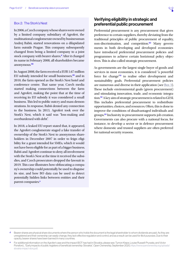#### <span id="page-12-1"></span><span id="page-12-0"></span>Box 2: The Stork's Nest

In 2006, a Czech company whose shares were owned by a limited company subsidiary of Agrofert, the multinational conglomerate owned by businessman Andrej Babiš, started renovations on a dilapidated farm outside Prague. This company subsequently changed from being a limited company to a joint stock company with bearer shares.<sup>d</sup> After it changed its name in February 2008, all shareholders became anonymous.[48](#page-24-0)

In August 2008, the farm received a EUR 1.67 million EU subsidy intended for small businesses,<sup>[49](#page-24-0)</sup> and in 2010, the farm opened as the Stork's Nest hotel and conference centre. That same year, Czech media started making connections between the farm and Agrofert, making the point that at the time of receiving its EU subsidy it was considered a small business. This led to public outcry and mass demonstrations. In response, Babiš denied any connection to the business. In 2013, Agrofert took over the Stork's Nest, which it said was "loss-making and overburdened with debt".

In 2018, a leaked EU report stated that, it appeared, the Agrofert conglomerate staged a fake transfer of ownership of the Stork's Nest to anonymous shareholders in December 2007 in order to feign eligibility for a grant intended for SMEs, which it would not have been eligible for as part of a bigger business. Babiš and Agrofert continue to deny all involvement with the Stork's Nest at the time it received the subsidies, and Czech prosecutors dropped the lawsuit in 2019. This case illustrates how obfuscating a company's ownership could potentially be used to disguise its size, and how BO data can be used to detect potentially hidden links between entities and their parent companies.<sup>e</sup>

# Verifying eligibility in strategic and preferential public procurement

Preferential procurement is any procurement that gives preference to certain suppliers, thereby deviating from the traditional principles of public procurement of equality, non-discrimination, and competition.<sup>[50](#page-24-0)</sup> Many governments in both developing and developed economies have introduced preferential procurement policies and programmes to achieve certain horiztonal policy objectives. This is also called strategic procurement.

As governments are the largest single buyer of goods and services in most economies, it is considered "a powerful force for change"[51](#page-24-0) to realise other development and sustainability goals. Preferential procurement policies are numerous and diverse in their application (see [Box 3](#page-13-1)). These include environmental goals (green procurement) and stimulating innovation, trade, and economic integration.[52](#page-24-0) A key aim of strategic procurement is related to GESI. This includes preferential procurement to redistribute opportunities, choices, and resources. Often, this is done to improve the conditions of disadvantaged individuals and groups.[53](#page-24-0) Inclusivity in procurement supports job creation. Governments can also procure with a national focus, for instance, to develop a sector or in defence procurement where domestic and trusted suppliers are often preferred for national security reasons.

d Bearer shares are physical share documents where the person who holds the document is the legal shareholder to whom dividends are paid. As they are unregistered and their ownership can easily change, they lack effective regulation and control, and as a result can be used for illicit purposes. Due to their opacity, bearer shares have been banned in many countries.

e For additional information on the Agrofert case and the impact BOT has had in Slovakia, please see: Tymon Kiepe, Louise Russell-Prywata, and Victor Ponsford, ""Early impacts of public registers of beneficial ownership: Slovakia", Open Ownership, September 2020, [https://www.openownership.org/uploads/](https://www.openownership.org/uploads/slovakia-impact-story.pdf) [slovakia-impact-story.pdf](https://www.openownership.org/uploads/slovakia-impact-story.pdf).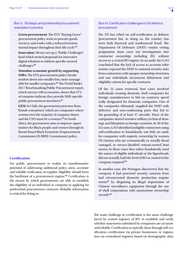<span id="page-13-3"></span><span id="page-13-1"></span>Box 3: Strategic and preferential procurement examples in practice

- **Green procurement**: The EU's "Buying Green" procurement policy seeks to procure goods, services, and works with a reduced environ-mental impact throughout their life-cycle.<sup>[54](#page-24-0)</sup>
- **Innovation**: Mexico set up a "Public Challenges" fund which invited proposals for innovative digital solutions to address specific societal challenges.[55](#page-24-0)
- **Stimulate economic growth by supporting SMEs**: The EU's procurement policy breaks tenders down into smaller lots, more manage-able for smaller companies.<sup>[56](#page-24-0)</sup> The World Bank's 2017 Benchmarking Public Procurement report, which surveys 180 economies, shows that 47% of countries indicate they provide SME-specific public procurement incentives.<sup>[57](#page-24-0)</sup>
- **GESI**: In Chile, the government procures from "female enterprises", which are companies where women own the majority of company shares and the CEO must be a woman.<sup>[58](#page-24-0)</sup> In South Africa, the government aims to improve opportunities for Black people and women through its Broad-Based Black Economic Empowerment Commission (B-BBEE Commission) policy.

### **Certification**

For public procurement to realise its transformative potential of addressing additional policy aims, accurate and reliable verification of supplier eligibility should form the backbone of a procurement regime.<sup>[59](#page-24-0)</sup> Certification is the means by which governments are able to establish the eligibility of an individual or company in applying for preferential procurement contracts. Reliable information is critical for doing so.

## <span id="page-13-2"></span><span id="page-13-0"></span>Box 4.1: Certification challenges in US defence procurement

The US has relied on self-certification in defence procurement but, in doing so, the country has seen both financial and nonfinancial fraud. The Department Of Defense's (DOD) vendor vetting programme must carry out investigations into contractor ownership, including BO, without access to a central BO register. In an audit, the GAO concluded that the lack of access to accurate information exposed the DOD to national security risks from contractors with opaque ownership structures, and saw individuals circumvent debarment and eligibility criteria for specific contracts.

Of the 32 cases reviewed, four cases involved individuals creating domestic shell companies for foreign manufacturers to bid on contracts specifically designated for domestic companies. One of the companies ultimately supplied the DOD with defective and non-conforming parts that led to the grounding of at least 47 aircrafts. Three of the companies shared sensitive military technical drawings and blueprints to foreign countries. In 20 of the 32 cases, GAO identified ineligible contractors using self-certification to fraudulently win bids set aside for companies with majority ownership by women, US citizens who are economically or socially disadvantaged, or service-disabled veteran-owned businesses. In these cases they either fraudulently used the names of eligible individuals or the figureheads did not actually hold the level of BO or control of the company required.<sup>[60](#page-24-0)</sup>

In another case, the Pentagon discovered that the company it had procured security cameras from had circumvented domestic production requirements[61](#page-24-0) by disguising its illegal importation of Chinese surveillance equipment through the use of shell corporations with anonymous ownership records.<sup>[62](#page-24-0)</sup>

The main challenge in certification is the same challenge faced by central registers of BO: to establish and verify whether statements submitted by companies are accurate and reliable. Certification is typically done through self-certification, certification via private businesses, or registration via centralised registers based on demographic data.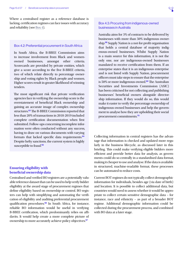<span id="page-14-0"></span>Where a centralised register as a reference database is lacking, certification regimes can face issues with accuracy and reliability (see [Box 4](#page-13-2)).

#### Box 4.2: Preferential procurement in South Africa

In South Africa, the B-BBEE Commission aims to increase involvement from Black and womenowned businesses, amongst other criteria. Scorecards are provided by private entities, which give a score according to the five B-BBEE criteria, two of which relate directly to percentage ownership and voting rights by Black people and women. Higher scores result in greater likelihood of winning tenders.

The most significant risk that private verification agencies face in verifying the ownership score is the overstatement of beneficial Black ownership and gaining an accurate image of complex ownership structures.<sup>[63](#page-24-0)</sup> The B-BBEE Commission reported that less than 20% of transactions in 2018-2019 included complete certification documentation when first submitted. Follow-ups concerning incomplete information were often conducted without any success, having to draw on various documents with varying formats that lacked specific data requirements.<sup>[64](#page-24-0)</sup> Despite hefty sanctions, the current system is highly susceptible to fraud.<sup>[65](#page-24-0)</sup>

## **Ensuring eligibility with beneficial ownership data**

Centralised and verified BO registers are a potentially valuable reference dataset that can be used to help verify bidder eligibility at the award stage of procurement regimes that define eligibility based on ownership or control. BO registers can help with simplifying and automating the verification of eligibility and auditing preferential procurement qualification procedures.<sup>[66](#page-24-0)</sup> In South Africa, for instance, reliable BO information would be useful in verifying B-BBEE certification, which predominantly relies on affidavits. It would help create a more complete picture of ownership to more accurately achieve policy objectives.<sup>[67](#page-24-0)</sup>

## Box 4.3: Procuring from indigenous-owned businesses in Australia

Australia aims for 3% of contracts to be delivered by businesses with more than 50% indigenous ownership.[68](#page-24-0) Supply Nation is a not-for-profit organisation that holds a central database of majority indigenous-owned businesses. Whilst Supply Nation is a main source for this information, it is not the only one, nor are indigenous-owned businesses mandated to receive certification from them. If an enterprise states that it is an indigenous enterprise and is not listed with Supply Nation, procurement officers must take steps to ensure that the enterprise is 50% or more indigenous-owned.<sup>[69](#page-24-0)</sup> The Australian Securities and Investments Commission (ASIC) has been criticised for not collecting and publishing businesses' beneficial owners alongside directorship information. If they would do so, this would make it easier to verify the percentage ownership of indigenous-owned businesses and help the government to analyse how they are upholding their social procurement commitments.[70](#page-24-0)

Collecting information in central registers has the advantage that information is checked and updated more regularly in the business lifecycle, as discussed later in this briefing. This could make verifying eligible bidders more efficient and provide better data for analysis, as governments could do so centrally in a standardised data format, making it cheaper to use and analyse. If the data is available in structured, machine-readable format, these processes can be automated to reduce costs.

Current BOT regimes do not typically collect demographic information for individuals, besides age (via date of birth) and location. It is possible to collect additional data, but countries would need to assess whether it would be appropriate to collect certain sensitive demographic data – for instance, race and ethnicity – as part of a broader BOT regime. Additional demographic information could be collected during the procurement process, and combined with BO data at a later stage.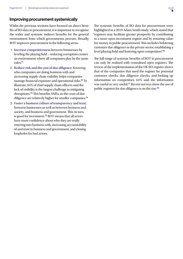

# <span id="page-15-1"></span><span id="page-15-0"></span>Improving procurement systemically

Whilst the previous sections have focused on direct benefits of BO data to procurement, it is important to recognise the wider and systemic indirect benefits for the general environment from which governments procure. Broadly, BOT improves procurement in the following areas.

- 1. **Increase competitiveness** between businesses by leveling the playing field – reducing corruption creates an environment where all companies play by the same rules.[71](#page-24-0)
- 2. **Reduce risk and the cost of due diligence**. Knowing who companies are doing business with and increasing supply chain visibility helps companies manage financial exposure and operational risks.[72](#page-24-0) To illustrate, 84% of chief supply chain officers said the lack of visibility is the largest challenge in mitigating disruptions.[73](#page-24-0) This benefits SMEs, as the costs of due diligence are relatively higher for smaller companies.<sup>[74](#page-24-0)</sup>
- 3. **Foster a business culture of transparency and trust**, between businesses as well as between business and society, and business and government. This, in turn, is good for investment.[75](#page-24-0) BOT means that all actors have more confidence about who they are really entering into business with, increasing accountability of and trust in business and government, and closing loopholes for bad actors.

The systemic benefits of BO data for procurement were highlighted in a 2019 Adam Smith study, which stated that "registers may facilitate greater prosperity by contributing to a more open investment regime and by ensuring valuefor-money in public procurement. This includes bolstering customer due diligence in the private sector, establishing a level playing field and fostering open competition".[76](#page-24-0)

The full range of systemic benefits of BOT in procurement can only be realised with centralised open registers. The review of the implementation of the UK BO register shows that of the companies that used the register for potential customer checks, due diligence checks, and looking up information on competitors, 64% said the information was useful or very useful.[77](#page-25-0) Recent surveys show the use of public registers for due diligence is on the rise.[78](#page-25-0)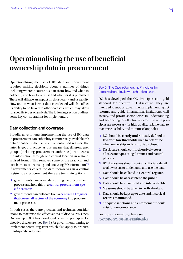

# <span id="page-16-0"></span>**Operationalising the use of beneficial ownership data in procurement**

Operationalising the use of BO data in procurement requires making decisions about a number of things, including where to source BO data from, how and when to collect it, and how to verify it and whether it is published. These will all have an impact on data quality and useability. How and in what format data is collected will also affect its ability to be linked to other datasets, which may allow for specific types of analysis. The following section outlines some key considerations for implementers.

## <span id="page-16-1"></span>Data collection and coverage

Broadly, governments implementing the use of BO data in procurement can either buy commercially available BO data or collect it themselves in a centralised register. The latter is good practice, as this means that different user groups (including procurement authorities), can access the information through one central location in a standardised format. This removes some of the practical and cost barriers to accessing and analysing BO information.[79](#page-25-0) If governments collect the data themselves in a central register to aid procurement, there are two main options:

- 1. governments can collect data during the procurement process and hold this in a **central procurement-specific register**;
- 2. governments can pull data from a **central BO register that covers all sectors of the economy** into procurement processes.

In both cases, there are practical and technical considerations to maximise the effectiveness of disclosures. Open Ownership (OO) has developed a set of principles for effective disclosure (see [Box 5\)](#page-16-2) for governments aiming to implement central registers, which also apply to procurement-specific registers.

## <span id="page-16-2"></span>Box 5: The Open Ownership Principles for effective beneficial ownership disclosure

OO has developed the OO Principles as a gold standard for effective BO disclosure. They are intended to support governments implementing BO reforms, and guide international institutions, civil society, and private sector actors in understanding and advocating for effective reforms. The nine principles are necessary for high quality, reliable data to maximise usability and minimise loopholes.

- 1. BO should be **clearly and robustly defined in law, with low thresholds** used to determine when ownership and control is disclosed.
- 2. Disclosure should **comprehensively cover** all relevant types of legal entities and natural persons.
- 3. BO disclosures should contain **sufficient detail** to allow users to understand and use the data.
- 4. Data should be collated in a **central register**.
- 5. Data should be **accessible to the public**.
- 6. Data should be **structured and interoperable**.
- 7. Measures should be taken to **verify** the data.
- 8. Data should be kept **up to date** and **historical records maintained**.
- 9. Adequate **sanctions and enforcement** should exist for noncompliance.

For more information, please see: [www.openownership.org/principles.](http://www.openownership.org/principles)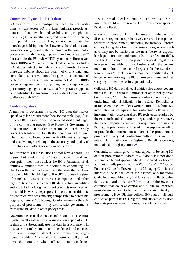### <span id="page-17-2"></span><span id="page-17-1"></span>**Commercially available BO data**

BO data from private third-parties have inherent limitations. Private sector BO providers building proprietary datasets often have limited visibility on (or rights to distribute) full ownership data, and often rely on inferring from partial information. They cannot coordinate the knowledge held by beneficial owners, shareholders, and companies or guarantee the coverage in the way that a government with the right powers and mandate can.<sup>[80](#page-25-0)</sup> For example, the EU's ARACHNE system uses Bureau van Dijk's ORBIS data<sup>[81](#page-25-0)</sup> – a commercial dataset which includes BO data – to detect potential conflicts of interests. However, there are debates about the quality of ORBIS data, and some data users have pointed to gaps in its coverage of certain countries (Germany, for instance). Whilst ORBIS covers a huge number of companies, the varying coverage per country highlights that BO data from private suppliers is no substitute for governments legislating for companies to disclose their BO.<sup>[82](#page-25-0)</sup>

### <span id="page-17-0"></span>**Central registers**

A number of governments collect BO data themselves specifically for procurement (see, for example, [Box 6](#page-18-2)). In this case, BO information can be collected at different stages of the contracting process (see [Figure 1\)](#page-3-0). Governments must ensure their disclosure regime comprehensively covers the legal entities to fulfil their policy aims. How and when data is collected comes with different advantages and disadvantages relating to the accuracy and quality of the data, as well what the data can be used for.

To illustrate this, if jurisdictions do not have a central BO register but want to use BO data to prevent fraud and corruption, they must collect the BO information of all entities submitting bids, in addition to conducting BO checks on the contract awardee, otherwise they will not be able to identify bid rigging. The UK's proposed register of beneficial owners of overseas companies and other legal entities intends to collect BO data on foreign entities seeking to bid for UK government contracts over a certain threshold. However, the proposal is to only collect this data for contract awardees, making it impossible to detect bid rigging by cartels.[83](#page-25-0) Collecting BO information for the sole purpose of procurement may also restrict governments from using BO data in other policy areas.

Governments can also collect information in a central register on all legal entities in a jurisdiction as part of a BOT regime and subsequently use this data in procurement. In this case, BO information can be collected and checked at different company lifecycle and procurement stages. Economy-wide BOT can allow for better visibility of full ownership structures when sufficient detail is collected. This can reveal other legal entities in an ownership structure that would not be revealed in procurement-specific BO data collection.

A key consideration for implementers is whether the disclosure regime comprehensively covers all companies relevant to procurement, including, for instance, foreign entities. Using data from other jurisdictions, where available, may not be feasible in the near future, as aspects like legal definitions and standards on verification differ. The UK, for instance, has proposed a separate register for foreign entities wishing to do business with the government, in addition to its central register for the BO of UK legal entities.[84](#page-25-0) Implementers may face additional challenges when verifying the BO of foreign entities, such as verifying the identities of foreign nationals.

Collecting BO data on all legal entities also allows governments to use BO data in a number of other policy areas (for instance, AML), where some countries may already be under international obligations. In the Czech Republic, for instance, contract awardees were required to submit BO information as prerequisites for contracting. Following the implementation of a centralised BO register, as required by the EU Fourth and Fifth Anti-Money Laundering Directives, the Czech Republic removed its requirement to submit BO data in procurement. Instead of the supplier needing to provide this information as part of the procurement process for every bid, contracting authorities search the relevant information on the Register of Beneficial Owners, maintained by registry courts.<sup>[85](#page-25-0)</sup>

Currently, not many governments appear to be using BO data in procurement. Where this is done, it is not done systematically, and appears to be done in an ad hoc fashion and not broadly publicised. The World Bank's 2020 Good Practices Guide for Preventing and Managing Conflicts of Interest in the Public Sector, for instance, only mentions Chile, Indonesia, Moldova, and Ukraine as collecting this data as standard procedure.<sup>[86](#page-25-0)</sup> In contrast, of the few other countries that do have central and public BO registers, most do not appear to be using them systematically in procurement. How Ukraine collects BO data on all legal entities as part of its BOT regime, and subsequently uses this in its procurement processes, is detailed in [Box 6](#page-18-2).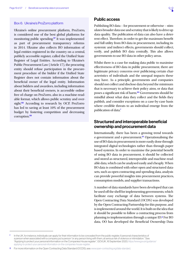#### <span id="page-18-2"></span><span id="page-18-0"></span>Box 6: Ukraine's ProZorro platform

Ukraine's online procurement platform, ProZorro, is considered one of the best global platforms for monitoring public spending.<sup>[87](#page-25-0)</sup> It was implemented as part of procurement transparency reforms in 2014. Ukraine also collects BO information of legal entities registered in the country on a central, publicly accessible register, called the Unified State Register of Legal Entities. According to Ukraine's Public Procurement Law (Article 17), the procuring entity should refuse participation in the procurement procedure of the bidder if the Unified State Register does not contain information about the beneficial owner of the legal entity. Information about bidders and awardees, including information about their beneficial owners, is accessible online free of charge on ProZorro, also in a machine-readable format, which allows public scrutiny and over-sight.<sup>[88](#page-25-0)</sup> According to research by OCP, ProZorro has led to saving at least 10% of the procurement budget by fostering competition and decreasing corruption.[89](#page-25-0)

## <span id="page-18-1"></span>Public access

Publishing BO data – for procurement or otherwise – stimulates broader data use and scrutiny that is likely to drive up data quality. The publication of data can also have a deterrent effect. Therefore, in order to get the maximum benefit and full utility from BO data in procurement, including its systemic and indirect effects, governments should collect, verify, and publish BO data centrally. This also allows governments to use BO data in other policy areas.

Whilst there is a case for making data public to maximise effectiveness of BO data in public procurement, there are legitimate privacy concerns over publicising certain characteristics of individuals and the unequal impacts these may have. As a principle, governments and companies should not collect and disclose data beyond the minimum that is necessary to achieve their policy aims, or data that poses a significant risk of harm.[90](#page-25-0) Governments should be mindful about what data they collect and the fields they publish, and consider exceptions on a case-by-case basis where credible threats to an individual emerge from the publication of data.<sup>f</sup>

## Structured and interoperable beneficial ownership and procurement data

Internationally, there has been a growing trend towards e-government and e-procurement.[91](#page-25-0) Operationalising the use of BO data in procurement is more easily done through integrated digital technologies rather than through paper based systems. In order to maximise the potential benefit of using BO data in procurement, it should be collected and stored as structured, interoperable and machine-readable data, which can be analysed easily and cheaply. When BO data is combined with other open and structured datasets, such as open contracting and spending data, analysis can provide powerful insights into procurement practices, consumption models, and supplier transactions.

A number of data standards have been developed that can be used off the shelf for implementing governments, which facilitate easy exchange of data between systems. The Open Contracting Data Standard (OCDS) was developed by the Open Contracting Partnership for this purpose, and is implemented around the world. It is built on the idea that it should be possible to follow a contracting process from planning to implementation through a unique ID.<sup>9</sup> For BO data, OO has developed the Beneficial Ownership Data

In the UK, for instance, individuals can apply for their information to be concealed from the public register, if personal characteristics of a person when associated with a company put a person "or any person living with them, at serious risk of violence or intimidation." See: "Applying to protect your personal information on the Companies House register", GOV.UK, 16 September 2020, [https://www.gov.uk/guidance/](https://www.gov.uk/guidance/applying-to-protect-your-personal-information-on-the-companies-house-register) [applying-to-protect-your-personal-information-on-the-companies-house-register.](https://www.gov.uk/guidance/applying-to-protect-your-personal-information-on-the-companies-house-register)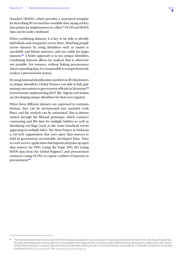<span id="page-19-0"></span>Standard (BODS), which provides a structured template for describing BO as machine-readable data, laying out key data points for implementers to collect.<sup>h</sup> OCDS and BODS data can be easily combined.

When combining datasets, it is key to be able to identify individuals and companies across them. Matching people across datasets by using identifiers such as names is unreliable and labour intensive, and not viable for larger datasets.[92](#page-25-0) A better approach is to use unique identifiers. Combining datasets allows for analysis that is otherwise not possible. For instance, without linking procurement data to spending data, it is not possible to comprehensively analyse a procurement system.

By using national identification numbers in BO disclosures as unique identifiers, Global Witness was able to link jade mining concessions to government officials in Myanmar.<sup>[93](#page-25-0)</sup> Governments implementing BOT, like Nigeria and Jordan, are developing unique identifiers for their own registers.

When these different datasets are expressed in common formats, they can be incorporated into standard workflows, and the analysis can be automated. This is demonstrated through the Bluetail prototype, which connects contracting and BO data for multiple bidders as well as identifying red flags (such as the same beneficial owner appearing in multiple bids). The Sinar Project in Malaysia, a civi-tech organisation that uses open data sources to hold its government accountable, developed Telus. Telus is a web service application that imports and joins up open data sources for PEPs (using the Popit API), BO (using BODS data from the Global Register), and procurement contracts (using OCDS) to expose conflicts of interests in procurement.<sup>[94](#page-25-0)</sup>

h The Beneficial Ownership Data Standard (BODS) has been developed to serve as a solid conceptual and practical framework for collecting and publishing BO data, and enabling the resulting data to be interoperable, more easily reused, and higher quality. BODS has been developed in collaboration with dozens of international experts in company data and in technical standard-setting, across civil society, business, and academia. A separate tool has been developed that allows the [data to be visualised.](https://www.openownership.org/visualisation/visualisation-tool/) See: [standard.openownership.org.](https://standard.openownership.org)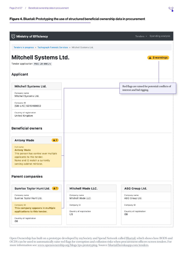## Figure 4. Bluetail: Prototyping the use of structured beneficial ownership data in procurement

 $Q$ 

| $\bigotimes$ Ministry of Efficiency                                                                                                                                         |                                             | Tenders $\sim$ Spending analysis                                             |
|-----------------------------------------------------------------------------------------------------------------------------------------------------------------------------|---------------------------------------------|------------------------------------------------------------------------------|
| Tenders in progress » Tachograph Forensic Services » Mitchell Systems Ltd.                                                                                                  |                                             |                                                                              |
| <b>Mitchell Systems Ltd.</b><br>Tender application PROC-20-0001/c                                                                                                           |                                             | <b>A</b> 3 warnings                                                          |
| <b>Applicant</b>                                                                                                                                                            |                                             |                                                                              |
| Mitchell Systems Ltd.                                                                                                                                                       |                                             | Red flags are raised for potential conflicts of<br>interest and bid rigging. |
| Company name<br>Mitchell Systems Ltd.<br>Company ID                                                                                                                         |                                             |                                                                              |
| [GB-LAC] 5315469852<br>Country of registration<br>United Kingdom                                                                                                            |                                             |                                                                              |
| <b>Beneficial owners</b>                                                                                                                                                    |                                             |                                                                              |
| A <sub>2</sub><br><b>Antony Wade</b>                                                                                                                                        |                                             |                                                                              |
| <b>Full name</b><br><b>Antony Wade</b><br>This person has control over multiple<br>applicants to this tender.<br>Name and ID match a currently<br>serving cabinet minister. |                                             |                                                                              |
| <b>Parent companies</b>                                                                                                                                                     |                                             |                                                                              |
| Sunrise Taylor Hunt Ltd. (41)                                                                                                                                               | <b>Mitchell Wade LLC.</b>                   | <b>ABG Group Ltd.</b>                                                        |
| Company name<br>Sunrise Taylor Hunt Ltd.                                                                                                                                    | Company name<br>Mitchell Wade LLC.          | Company name<br>ABG Group Ltd.                                               |
| <b>Company ID</b><br>This company appears in multiple<br>applications to this tender.                                                                                       | Company ID<br>Country of registration<br>US | Company ID<br>Country of registration<br>GB                                  |
| Country of registration<br>GB                                                                                                                                               |                                             |                                                                              |

Open Ownership has built on a prototype developed by mySociety and Spend Network called [Bluetail](https://github.com/openownership/bluetail), which shows how BODS and OCDS can be used to automatically raise red flags for corruption and collusion risks when procurement officers screen tenders. For more information see: [www.openownership.org/blogs/tps-prototyping.](https://www.openownership.org/blogs/tps-prototyping/) Source: [bluetail.herokuapp.com/tenders.](https://bluetail.herokuapp.com/tenders/)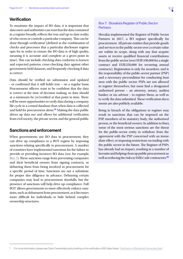# <span id="page-21-0"></span>**Verification**

To maximise the impact of BO data, it is important that data users and authorities can trust that the data contained in a register broadly reflects the true and up-to-date reality of who owns or controls a particular company. This can be done through verification<sup>i</sup> (defined as the combination of checks and processes that a particular disclosure regime opts for in order to ensure the BO data is of high quality, meaning it is accurate and complete at a given point in time). This can include checking data conforms to known and expected patterns, cross-checking data against other government-held datasets, and frequently checking if data is correct.

Data should be verified on submission and updated – or confirmed that it still holds true – on a regular basis. Procurement officers want to be confident that the data is correct at the time of decision making, so data should at a minimum be (re)verified at that point in time. There will be more opportunities to verify data during a company life cycle in a central database than when data is collected and held for procurement alone.<sup>[95](#page-25-0)</sup> Making the data public drives up data use and allows for additional verification from civil society, the private sector, and the general public.

# Sanctions and enforcement

When governments use BO data in procurement, they can drive up compliance to a BOT regime by imposing sanctions relating specifically to procurement. A number of countries have implemented sanctions for the failure to provide or providing incorrect BO data (see, for example, [Box 7](#page-21-1)). These sanctions range from preventing companies and their beneficial owners from signing contracts, or debarring them from being involved in procurement for a specific period of time. Sanctions are not a substitute for proper due diligence in advance. Debarring certain companies may lead to procurement shortfalls, but the presence of sanctions will help drive up compliance. Full BOT allows governments to more effectively enforce sanctions, such as debarment from procurement, as it becomes more difficult for individuals to hide behind complex ownership structures.

## <span id="page-21-1"></span>Box 7: Slovakia's Register of Public Sector **Partners**

Slovakia implemented the Register of Public Sector Partners in 2017, a BO register specifically for procurement. All private entities that provide goods and services to the public sector over a certain value are within its scope, along with any that acquire assets or receive qualified financial contributions from the public sector (over EUR100,000 for a single contract and EUR250,000 for recurring annual contracts). Registration is only for awardees, and is the responsibility of the public-sector partner (PSP) and a necessary precondition for conducting business with the public sector. PSPs are not allowed to register themselves, but must find a designated authorised person – an attorney, notary, auditor, banker, or tax advisor – to register them, as well as to verify the data submitted. These verification documents are also publicly available.

Being in breach of the obligations to register may result in sanctions that can be imposed on the PSP, members of its statutory body, the authorised person, or the beneficial owners. In addition to fines, some of the most serious sanctions are the threat for the public-sector entity to withdraw from the agreement with the PSP concerned with an immediate effect, or imposing restrictions on trading with the public sector in the future. The Register of PSPs has already had an impact, resulting in a number of lawsuits and helping clean up public procurement as well as reducing the risks to SMEs' sub-contractors.<sup>[96](#page-25-0)</sup>

For more information, please see Open Ownership's policy briefing on the verification of BO data: Kiepe, ["Verification of Beneficial Ownership Data](https://www.openownership.org/resources/)"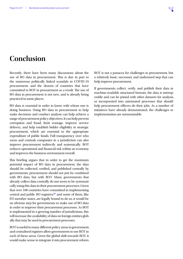# <span id="page-22-0"></span>**Conclusion**

Recently, there have been many discussions about the use of BO data in procurement. This is due in part to the numerous politically linked scandals in COVID-19 procurement, and the dozens of countries that have committed to BOT in procurement as a result. The use of BO data in procurement is not new, and is already being practiced in some places.

BO data is essential in order to know with whom one is doing business. Using BO data in procurement to help make decisions and conduct analysis can help achieve a range of procurement policy objectives. It can help prevent corruption and fraud, limit wastage, improve service delivery, and help establish bidder eligibility in strategic procurement, which are essential to the appropriate expenditure of public funds. Full transparency over who owns and controls companies in a jurisdiction can also improve procurement indirectly and systemically. BOT reduces operational and financial risk within an economy and improves the business environment overall.

This briefing argues that in order to get the maximum potential impact of BO data in procurement, the data should be collected, verified, and published centrally by governments; procurement should not just be combined with BO data, but with BOT. Many governments that already collect data centrally do not seem to be systematically using this data in their procurement processes. Given that over 100 countries have committed to implementing central and public BO registers, $97$  and some of them, like EU member states, are legally bound to do so, it would be an obvious step for governments to make use of BO data in order to improve their procurement processes. As BOT is implemented in a growing number of jurisdictions, this will increase the availability of data on foreign entities globally that may be used in procurement processes.

BOT is useful in many different policy areas in government, and centralised registers allow governments to use BOT in each of these areas. Given the global shift towards BOT, it would make sense to integrate it into procurement reform. BOT is not a panacea for challenges in procurement, but a relatively basic, necessary and underused step that can help improve procurement.

If governments collect, verify, and publish their data in machine-readable structured formats, the data is interoperable and can be joined with other datasets for analysis, or incorporated into automated processes that should help procurement officers do their jobs. As a number of initiatives have already demonstrated, the challenges to implementation are surmountable.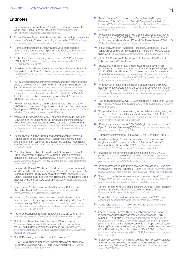## <span id="page-23-0"></span>**Endnotes**

- [1](#page-2-0) Erica Bosio and Simeon Djankov, "How large is public procurement?", World Bank Blogs, 5 February 2020, [https://blogs.worldbank.org/](https://blogs.worldbank.org/developmenttalk/how-large-public-procurement) [developmenttalk/how-large-public-procurement](https://blogs.worldbank.org/developmenttalk/how-large-public-procurement).
- [2](#page-2-0) Simeon Djankov, Federica Saliola, and Asif Islam, "Is public procurement a rich country's policy?", World Bank Blogs, 1 December 2016, [https://blogs.](https://blogs.worldbank.org/governance/public-procurement-rich-country-s-policy) [worldbank.org/governance/public-procurement-rich-country-s-policy](https://blogs.worldbank.org/governance/public-procurement-rich-country-s-policy).
- [3](#page-2-0) "How governments spend: Opening up the value of global public procurement", Open Contracting Partnership (OCP), 2020, [https://www.](https://www.open-contracting.org/what-is-open-contracting/global-procurement-spend/) [open-contracting.org/what-is-open-contracting/global-procurement-spend/.](https://www.open-contracting.org/what-is-open-contracting/global-procurement-spend/)
- [4](#page-2-0) "Global Anti-money Laundering Survey Results 2017", Dow Jones and SWIFT, 2017, 25, [https://fraudfighting.org/wp-content/uploads/2018/02/](https://fraudfighting.org/wp-content/uploads/2018/02/RC_AML-Survey2017_v5.pdf) [RC\\_AML-Survey2017\\_v5.pdf](https://fraudfighting.org/wp-content/uploads/2018/02/RC_AML-Survey2017_v5.pdf).
- [5](#page-2-0) "2016 Procurement Framework: Mandatory Direct Payment & Beneficial Ownership", World Bank, April 2018, [https://nl4worldbank.files.wordpress.](https://nl4worldbank.files.wordpress.com/2018/05/direct-payment-and-beneficial-ownership-outreach-program-april-2018.pdf) [com/2018/05/direct-payment-and-beneficial-ownership-outreach-program](https://nl4worldbank.files.wordpress.com/2018/05/direct-payment-and-beneficial-ownership-outreach-program-april-2018.pdf)[april-2018.pdf](https://nl4worldbank.files.wordpress.com/2018/05/direct-payment-and-beneficial-ownership-outreach-program-april-2018.pdf).
- [6](#page-2-0) "WP1502: Beneficial ownership transparency and open contracting and public procurement (comments from Anti-Corruption Summit)", Wilton Park, 2016, [https://www.wiltonpark.org.uk/wp-content/uploads/WP1502-](https://www.wiltonpark.org.uk/wp-content/uploads/WP1502-Comments-on-beneficial-ownership-transparency-and-open-contracting-and-public-procurement-at-Anti-Corruption-Summit.pdf) [Comments-on-beneficial-ownership-transparency-and-open-contracting](https://www.wiltonpark.org.uk/wp-content/uploads/WP1502-Comments-on-beneficial-ownership-transparency-and-open-contracting-and-public-procurement-at-Anti-Corruption-Summit.pdf)[and-public-procurement-at-Anti-Corruption-Summit.pdf;](https://www.wiltonpark.org.uk/wp-content/uploads/WP1502-Comments-on-beneficial-ownership-transparency-and-open-contracting-and-public-procurement-at-Anti-Corruption-Summit.pdf) "IMF COVID-19 Anti-Corruption Tracker", Transparency International, 20 September 2020, [https://www.transparency.org/en/imf-tracker.](https://www.transparency.org/en/imf-tracker)
- [7](#page-4-0) "Reforming Public Procurement: Progress in Implementing the 2015 OECD Recommendation", Organisation for Economic Co-operation and Development (OECD), 2019, [https://www.oecd-ilibrary.org/sites/717274af-en/](https://www.oecd-ilibrary.org/sites/717274af-en/index.html?itemId=/content/component/717274af-en) [index.html?itemId=/content/component/717274af-en.](https://www.oecd-ilibrary.org/sites/717274af-en/index.html?itemId=/content/component/717274af-en)
- [8](#page-4-0) Monika Bauhr, Agnes Czibik, Mihaly Fazekas, and Jenny de Fine Licht, "D3.2 Lights on the Shadows of Public Procurement. Transparency in government contracting as an antidote to corruption?", DIGIWHIST 31 August 2017, [http://digiwhist.eu/publications/lights-on-the-shadows-of-public](http://digiwhist.eu/publications/lights-on-the-shadows-of-public-procurement-transparency-in-government-contracting-as-an-antidote-to-corruption/)[procurement-transparency-in-government-contracting-as-an-antidote-to](http://digiwhist.eu/publications/lights-on-the-shadows-of-public-procurement-transparency-in-government-contracting-as-an-antidote-to-corruption/)[corruption/.](http://digiwhist.eu/publications/lights-on-the-shadows-of-public-procurement-transparency-in-government-contracting-as-an-antidote-to-corruption/)
- [9](#page-4-0) Stephen Knack, Nataliya Biletska, and Kanishka Kacker, "Deterring Kickbacks and Encouraging Entry in Public Procurement Markets: Evidence from Firm Surveys in 88 Developing Countries", World Bank, May 2017, [http://documents.worldbank.org/curated/en/817871496169519447/](http://documents.worldbank.org/curated/en/817871496169519447/pdf/WPS8078.pdf) [pdf/WPS 8078.pdf.](http://documents.worldbank.org/curated/en/817871496169519447/pdf/WPS8078.pdf)
- [10](#page-5-0) Mihály Fazekas and Elizabeth Dávid-Barrett, "Corruption Risks in UK Public Procurement and New AntiCorruption Tools", Government Transparency Institute, November 2015, 2, [http://www.govtransparency.](http://www.govtransparency.eu/wp-content/uploads/2016/10/Fazekas-David-Barrett_Public-procurement-review_public_151113.pdf) [eu/wp-content/uploads/2016/10/Fazekas-David-Barrett\\_Public-procurement](http://www.govtransparency.eu/wp-content/uploads/2016/10/Fazekas-David-Barrett_Public-procurement-review_public_151113.pdf)[review\\_public\\_151113.pdf](http://www.govtransparency.eu/wp-content/uploads/2016/10/Fazekas-David-Barrett_Public-procurement-review_public_151113.pdf).
- [11](#page-7-0) Emile van der Does de Willebois, Emily M. Halter, Robert A. Harrison, Ji Won Park, and J.C. Sharman, "The Puppet Masters: How the Corrupt Use Legal Structures to Hide Stolen Assets and What to Do About It", StAR (Stolen Asset Recovery Initiative), World Bank, and United Nations Office on Drugs and Crime (UNODC), 2011, 2, [https://star.worldbank.org/sites/star/](https://star.worldbank.org/sites/star/files/puppetmastersv1.pdf) [files/puppetmastersv1.pdf.](https://star.worldbank.org/sites/star/files/puppetmastersv1.pdf)
- [12](#page-7-0) Tymon Kiepe, "Verification of Beneficial Ownership Data", Open Ownership, May 2020, 7, [https://www.openownership.org/uploads/](https://www.openownership.org/uploads/OpenOwnership%20Verification%20Briefing.pdf) [OpenOwnership%20Verification%20Briefing.pdf](https://www.openownership.org/uploads/OpenOwnership%20Verification%20Briefing.pdf).
- [13](#page-8-0) Jack Lord, "Connecting the dots between beneficial ownership and procurement data: improving processes and identifying risk", Open Data Services, January 2020, [https://medium.com/opendatacoop/connecting](https://medium.com/opendatacoop/connecting-the-dots-between-beneficial-ownership-and-procurement-data-improving-processes-and-2fd0df9d9653)[the-dots-between-beneficial-ownership-and-procurement-data-improving](https://medium.com/opendatacoop/connecting-the-dots-between-beneficial-ownership-and-procurement-data-improving-processes-and-2fd0df9d9653)[processes-and-2fd0df9d9653](https://medium.com/opendatacoop/connecting-the-dots-between-beneficial-ownership-and-procurement-data-improving-processes-and-2fd0df9d9653).
- [14](#page-8-0) "Preventing Corruption in Public Procurement", OECD, 2016, 6, [https://](https://www.oecd.org/gov/ethics/Corruption-Public-Procurement-Brochure.pdf) [www.oecd.org/gov/ethics/Corruption-Public-Procurement-Brochure.pdf.](https://www.oecd.org/gov/ethics/Corruption-Public-Procurement-Brochure.pdf)
- [15](#page-8-0) Nick Davies, Oliver Chan, Aron Cheung, and Gavin Freeguard, "Government procurement: The scale and nature of contracting in the UK", Institute for Government, December 2018, 35, [https://www.](https://www.instituteforgovernment.org.uk/sites/default/files/publications/IfG_government_procurement_web3.pdf) [instituteforgovernment.org.uk/sites/default/files/publications/IfG\\_government\\_](https://www.instituteforgovernment.org.uk/sites/default/files/publications/IfG_government_procurement_web3.pdf) [procurement\\_web3.pdf.](https://www.instituteforgovernment.org.uk/sites/default/files/publications/IfG_government_procurement_web3.pdf)
- [16](#page-8-0) OECD, "Preventing Corruption in Public Procurement".
- [17](#page-8-0) "OECD Foreign Bribery Report: An Analysis of the Crime of Bribery of Foreign Public Officials" OECD, (Paris: OECD Publishing, 2014), [http://](http://dx.doi.org/10.1787/9789264226616-en) [dx.doi.org/10.1787/9789264226616-en.](http://dx.doi.org/10.1787/9789264226616-en)
- [18](#page-8-0) "Report from the Commission to the Council and the European Parliament: EU Anti-Corruption Report", European Commission, 3 February 2014, [http://ec.europa.eu/dgs/home-affairs/e-library/documents/](http://ec.europa.eu/dgs/home-affairs/e-library/documents/policies/organized-crime-and-human-trafficking/corruption/docs/acr_2014_en.pdf) [policies/organized-crime-and-human-trafficking/corruption/docs/](http://ec.europa.eu/dgs/home-affairs/e-library/documents/policies/organized-crime-and-human-trafficking/corruption/docs/acr_2014_en.pdf) [acr\\_2014\\_en.pdf](http://ec.europa.eu/dgs/home-affairs/e-library/documents/policies/organized-crime-and-human-trafficking/corruption/docs/acr_2014_en.pdf).
- [19](#page-8-0) "Procurement Corruption in the Public Sector and Associated Money Laundering in the ESAAMLG Region", Eastern and Southern Africa Anti-Money Laundering Group (ESAAMLG), (Dar es Salaam: ESAAMLG, 2019), [https://esaamlg.org/reports/Report\\_procurement.pdf](https://esaamlg.org/reports/Report_procurement.pdf).
- [20](#page-8-0) "Fraud and Corruption Awareness Handbook : A Handbook for Civil Servants Involved in Public Procurement", World Bank (Warsaw: World Bank, 2013), 7, <https://openknowledge.worldbank.org/handle/10986/18153>.
- [21](#page-8-0) OECD, "OECD Foreign Bribery Report: An Analysis of the Crime of Bribery of Foreign Public Officials".
- [22](#page-8-0) "Review into the risks of fraud and corruption in local government procurement: A commitment from the UK Anti-Corruption Strategy 2017- 2022", UK Ministry of Housing, Communities and Local Government, June 2020, [https://assets.publishing.service.gov.uk/government/uploads/](https://assets.publishing.service.gov.uk/government/uploads/system/uploads/attachment_data/file/890748/Fraud_and_corruption_risks_in_local_government_procurement_FINAL.pdf) [system/uploads/attachment\\_data/file/890748/Fraud\\_and\\_corruption\\_risks\\_in\\_](https://assets.publishing.service.gov.uk/government/uploads/system/uploads/attachment_data/file/890748/Fraud_and_corruption_risks_in_local_government_procurement_FINAL.pdf) local government procurement FINAL.pdf.
- [23](#page-9-1) "Why corruption matters: understanding causes, effects and how to address them", UK Department for International Development, January 2015, 50, [https://assets.publishing.service.gov.uk/government/uploads/system/](https://assets.publishing.service.gov.uk/government/uploads/system/uploads/attachment_data/file/406346/corruption-evidence-paper-why-corruption-matters.pdf) [uploads/attachment\\_data/file/406346/corruption-evidence-paper-why](https://assets.publishing.service.gov.uk/government/uploads/system/uploads/attachment_data/file/406346/corruption-evidence-paper-why-corruption-matters.pdf)[corruption-matters.pdf](https://assets.publishing.service.gov.uk/government/uploads/system/uploads/attachment_data/file/406346/corruption-evidence-paper-why-corruption-matters.pdf).
- [24](#page-9-1) "Tackling Coronavirus (COVID-19): Contributing to a Global Effort", OECD, n.d., [https://www.oecd.org/competition/COVID-19-competition-and-emergency](https://www.oecd.org/competition/COVID-19-competition-and-emergency-procurement.pdf)procurement pdf
- [25](#page-9-1) "Keeping the Receipts: Transparency, Accountability, and Legitimacy in Emergency Responses", International Monetary Fund (IMF), 2020, [https://](https://www.imf.org/~/media/Files/Publications/covid19-special-notes/en-special-series-on-covid-19-keeping-the-receipts.ashx) [www.imf.org/~/media/Files/Publications/covid19-special-notes/en-special](https://www.imf.org/~/media/Files/Publications/covid19-special-notes/en-special-series-on-covid-19-keeping-the-receipts.ashx)[series-on-covid-19-keeping-the-receipts.ashx.](https://www.imf.org/~/media/Files/Publications/covid19-special-notes/en-special-series-on-covid-19-keeping-the-receipts.ashx)
- [26](#page-9-1) "Emergency procurement for COVID-19: Buying fast, smart, and open", Open Contracting Partnership (OCP), n.d., [https://www.open-contracting.](https://www.open-contracting.org/what-is-open-contracting/covid19/) [org/what-is-open-contracting/covid19/](https://www.open-contracting.org/what-is-open-contracting/covid19/).
- [27](#page-9-1) Transparency International, "IMF COVID-19 Anti-Corruption Tracker".
- [28](#page-9-1) Jane Bradley, Selam Gebrekidan, and Allison McCann, , "Waste, Negligence and Cronyism: Inside Britain's Pandemic Spending", New York Times, 17 December 2020, [https://www.nytimes.com/](https://www.nytimes.com/interactive/2020/12/17/world/europe/britain-covid-contracts.html) interactive/2020/12/17/world/europe/britain-covid-contracts.html
- [29](#page-9-1) "Investigation into government procurement during the COVID-19 pandemic", National Audit Office, 26 November 2020, 11, [https://www.](https://www.nao.org.uk/wp-content/uploads/2020/11/Investigation-into-government-procurement-during-the-COVID-19-pandemic.pdf) [nao.org.uk/wp-content/uploads/2020/11/Investigation-into-government](https://www.nao.org.uk/wp-content/uploads/2020/11/Investigation-into-government-procurement-during-the-COVID-19-pandemic.pdf)[procurement-during-the-COVID-19-pandemic.pdf](https://www.nao.org.uk/wp-content/uploads/2020/11/Investigation-into-government-procurement-during-the-COVID-19-pandemic.pdf).
- [30](#page-10-0) "Prison sentences of up to 4 years have been demanded for fraud with face masks", Openbaar Ministerie, 17 June 2020, [https://www.om.nl/actueel/](https://www.om.nl/actueel/nieuws/2020/06/17/celstraffen-tot-4-jaar-geeist-voor-fraude-met-mondkapjes) [nieuws/2020/06/17/celstraffen-tot-4-jaar-geeist-voor-fraude-met-mondkapjes](https://www.om.nl/actueel/nieuws/2020/06/17/celstraffen-tot-4-jaar-geeist-voor-fraude-met-mondkapjes).
- [31](#page-10-0) "Fraud with 11 million face masks, suspects detained longer", RTL Nieuws, 22 April 2020, [https://www.rtlnieuws.nl/nieuws/nederland/artikel/5099281/](https://www.rtlnieuws.nl/nieuws/nederland/artikel/5099281/oplichting-mondkapjes-fraude-nederlands-duo-duitse-overheid) [oplichting-mondkapjes-fraude-nederlands-duo-duitse-overheid](https://www.rtlnieuws.nl/nieuws/nederland/artikel/5099281/oplichting-mondkapjes-fraude-nederlands-duo-duitse-overheid).
- [32](#page-10-0) "Joining the dots with PEPs: cross-matching BO and FD data to identify red flags", Extractive Industries Transparency Initiative (EITI), 20 December 2019, [https://imfilab.brightidea.com/D361.](https://imfilab.brightidea.com/D361)
- [33](#page-10-0) "ARACHNE risk scoring tool", European Commission, 2020, [https://](https://ec.europa.eu/social/main.jsp?catId=325&intPageId=3587&langId=en) [ec.europa.eu/social/main.jsp?catId=325&intPageId=3587&langId=en.](https://ec.europa.eu/social/main.jsp?catId=325&intPageId=3587&langId=en)
- [34](#page-10-0) "Cartels", European Commission, 15 March 2017, [https://ec.europa.eu/](https://ec.europa.eu/competition/cartels/overview/index_en.html) [competition/cartels/overview/index\\_en.html.](https://ec.europa.eu/competition/cartels/overview/index_en.html)
- [35](#page-10-0) See, for example: Cherese Thakur, "Beneficial ownership disclosure is indispensable in the fight against procurement 'hyenas'", Daily Maverick, 21 August 2020, [https://www.dailymaverick.co.za/article/2020-](https://www.dailymaverick.co.za/article/2020-08-21-beneficial-ownership-disclosure-is-indispensable-in-the-fight-against-procurement-hyenas/) [08-21-beneficial-ownership-disclosure-is-indispensable-in-the-fight-against](https://www.dailymaverick.co.za/article/2020-08-21-beneficial-ownership-disclosure-is-indispensable-in-the-fight-against-procurement-hyenas/)[procurement-hyenas/](https://www.dailymaverick.co.za/article/2020-08-21-beneficial-ownership-disclosure-is-indispensable-in-the-fight-against-procurement-hyenas/) and "Public Procurement Transparency & Integrity: Ensuring Transparency in Emergency Procurement: Recommendations", RECORD: Reducing Corruption Risks with Data, 2020, [https://www.](https://www.access-info.org/wp-content/uploads/RECORD_Transparency-in-Emergency-Procurement.pdf) [access-info.org/wp-content/uploads/RECORD\\_Transparency-in-Emergency-](https://www.access-info.org/wp-content/uploads/RECORD_Transparency-in-Emergency-Procurement.pdf)[Procurement.pdf.](https://www.access-info.org/wp-content/uploads/RECORD_Transparency-in-Emergency-Procurement.pdf)
- [36](#page-10-0) "Defense Procurement: Ongoing DOD Fraud Risk Assessment Efforts Should Include Contractor Ownership", United States Government Accountability Office (GAO), November 2019, 2, [https://www.gao.gov/](https://www.gao.gov/assets/710/702890.pdf) [assets/710/702890.pdf.](https://www.gao.gov/assets/710/702890.pdf)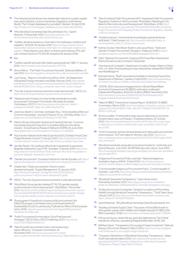- <span id="page-24-0"></span>[37](#page-10-0) The following tutorial shows how shareholder data from a public register was used to identify common ownership: Dagoberto José Herrera Murillo, "Part I: Graph databases for journalists", Medium, 30 April 2019, <https://medium.com/neo4j/graph-databases-for-journalists-5ac116fe0f54>.
- [38](#page-10-0) "Why Beneficial Ownership Data Should Interest You", Spend Network, 17 December 2020, [https://spendnetwork.com/](https://spendnetwork.com/why-beneficial-ownership-data-should-interest-you/) [why-beneficial-ownership-data-should-interest-you/.](https://spendnetwork.com/why-beneficial-ownership-data-should-interest-you/)
- [39](#page-11-0) "Carillion declares insolvency: information for employees, creditors and suppliers", GOV.UK, 26 January 2018, [https://www.gov.uk/government/](https://www.gov.uk/government/news/carillion-declares-insolvency-information-for-employees-creditors-and-suppliers) [news/carillion-declares-insolvency-information-for-employees-creditors-and](https://www.gov.uk/government/news/carillion-declares-insolvency-information-for-employees-creditors-and-suppliers)[suppliers.](https://www.gov.uk/government/news/carillion-declares-insolvency-information-for-employees-creditors-and-suppliers) These figures cover direct contracts, joint ventures, PFIs, and sub-contracts (source: PQ 122758, answered 18 January 2018).
- **[40](#page-11-0)** Ibid
- [41](#page-11-0) "Carillion was left with just £29m before going bankrupt", BBC, 17 January 2018, <https://www.bbc.co.uk/news/business-42710795>.
- [42](#page-11-0) Simon Wilcox, "The Public Procurement Scandal", Business Matters, 31 July 2013, [https://bmmagazine.co.uk/opinion/the-public-procurement-scandal/.](https://bmmagazine.co.uk/opinion/the-public-procurement-scandal/)
- Lord Young, , "Report on Small Firms 2010 to 2015", UK Department of Business Energy, Innovation and Skills, February 2015, [https://assets.](https://assets.publishing.service.gov.uk/government/uploads/system/uploads/attachment_data/file/402897/Lord_Young_s_enterprise_report-web_version_final.pdf) [publishing.service.gov.uk/government/uploads/system/uploads/attachment\\_](https://assets.publishing.service.gov.uk/government/uploads/system/uploads/attachment_data/file/402897/Lord_Young_s_enterprise_report-web_version_final.pdf) [data/file/402897/Lord\\_Young\\_s\\_enterprise\\_report-web\\_version\\_final.pdf.](https://assets.publishing.service.gov.uk/government/uploads/system/uploads/attachment_data/file/402897/Lord_Young_s_enterprise_report-web_version_final.pdf)
- [44](#page-11-0) "The role of government procurement in international trade", OECD, n.d., <https://www.oecd.org/trade/topics/government-procurement/>.
- [45](#page-11-0) "Measurement of impact of cross-border penetration in public procurement" European Commission, (Brussels: European Commission, 2017), 11, [https://op.europa.eu/en/publication-detail/-/](https://op.europa.eu/en/publication-detail/-/publication/5c148423-39e2-11e7-a08e-01aa75ed71a1) [publication/5c148423-39e2-11e7-a08e-01aa75ed71a1](https://op.europa.eu/en/publication-detail/-/publication/5c148423-39e2-11e7-a08e-01aa75ed71a1).
- [46](#page-11-0) José Azar, Martin C. Schmalz, and Isabel Tecu, "Anticompetitive Effects of Common Ownership", Journal of Finance 73, no. 4 (10 May 2018), [https://](https://papers.ssrn.com/sol3/papers.cfm?abstract_id=2427345) [papers.ssrn.com/sol3/papers.cfm?abstract\\_id=2427345.](https://papers.ssrn.com/sol3/papers.cfm?abstract_id=2427345)
- [47](#page-11-0) Patrick Dennis, Kristopher Gerardi, and Carola Schenone, "Common Ownership Does Not Have Anti-Competitive Effects in the Airline Industry", Social Science Research Network (SSRN), 26 June 2020, [https://papers.ssrn.com/sol3/papers.cfm?abstract\\_id=3063465](https://papers.ssrn.com/sol3/papers.cfm?abstract_id=3063465)
- [48](#page-12-0) "Key Events in Babis's Stork Nest (Capi Hnizdo) EU Subsidy Fraud Case", Prague Business Journal, 31 January 2020, [https://praguebusinessjournal.](https://praguebusinessjournal.com/key-events-in-babiss-stork-nest-capi-hnizdo-eu-subsidy-fraud-case/) [com/key-events-in-babiss-stork-nest-capi-hnizdo-eu-subsidy-fraud-case/](https://praguebusinessjournal.com/key-events-in-babiss-stork-nest-capi-hnizdo-eu-subsidy-fraud-case/).
- [49](#page-12-0) Jennifer Rankin, "EU antifraud office finds 'irregularities' in payments allegedly obtained by Czech PM", Guardian, 5 January 2018, [https://www.](https://www.theguardian.com/world/2018/jan/05/eu-antifraud-office-finds-irregularities-in-payments-allegedly-obtained-by-czech-pm) [theguardian.com/world/2018/jan/05/eu-antifraud-office-finds-irregularities-in](https://www.theguardian.com/world/2018/jan/05/eu-antifraud-office-finds-irregularities-in-payments-allegedly-obtained-by-czech-pm)[payments-allegedly-obtained-by-czech-pm](https://www.theguardian.com/world/2018/jan/05/eu-antifraud-office-finds-irregularities-in-payments-allegedly-obtained-by-czech-pm).
- [50](#page-12-0) "Gender procurement", European Institute for Gender Equality, n.d., [https://](https://eige.europa.eu/gender-mainstreaming/methods-tools/gender-procurement) [eige.europa.eu/gender-mainstreaming/methods-tools/gender-procurement.](https://eige.europa.eu/gender-mainstreaming/methods-tools/gender-procurement)
- [51](#page-12-0) Charlie Hart, "Public procurement 'critical' to reach development goals", Supply Management, 22 January 2020, [https://www.cips.org/supply-management/news/2020/january/](https://www.cips.org/supply-management/news/2020/january/public-procurement-critical-to-reach-development-goals/) [public-procurement-critical-to-reach-development-goals/](https://www.cips.org/supply-management/news/2020/january/public-procurement-critical-to-reach-development-goals/).
- [52](#page-12-0) OECD, "The role of government procurement in international trade".
- [53](#page-12-0) "World Bank Group gender strategy (FY16-23): gender equality, poverty reduction and inclusive growth", World Bank, 1 December 2015, [https://documents.worldbank.org/en/publication/documents-reports/](https://documents.worldbank.org/en/publication/documents-reports/documentdetail/820851467992505410/world-bank-group-gender-strategy-fy16-23-gender-equality-poverty-reduction-and-inclusive-growth) [documentdetail/820851467992505410/world-bank-group-gender-strategy](https://documents.worldbank.org/en/publication/documents-reports/documentdetail/820851467992505410/world-bank-group-gender-strategy-fy16-23-gender-equality-poverty-reduction-and-inclusive-growth)[fy16-23-gender-equality-poverty-reduction-and-inclusive-growth.](https://documents.worldbank.org/en/publication/documents-reports/documentdetail/820851467992505410/world-bank-group-gender-strategy-fy16-23-gender-equality-poverty-reduction-and-inclusive-growth)
- [54](#page-13-3) "Buying green! A handbook on green public procurement (3rd Edition)"European Commission and Local Governments for Sustainability (ICLEI), (Luxembourg: Publications Office of the European Union, 2016) , [https://ec.europa.eu/environment/gpp/pdf/Buying-Green-](https://ec.europa.eu/environment/gpp/pdf/Buying-Green-Handbook-3rd-Edition.pdf)[Handbook-3rd-Edition.pdf](https://ec.europa.eu/environment/gpp/pdf/Buying-Green-Handbook-3rd-Edition.pdf).
- [55](#page-13-3) "Public Procurement for Innovation: Good Practices and Strategies" OECD, (Paris: OECD Publishing, 2017), [https://dx.doi.](https://dx.doi.org/10.1787/9789264265820-en) [org/10.1787/9789264265820-en](https://dx.doi.org/10.1787/9789264265820-en).
- [56](#page-13-3) "New EU public procurement rules: Less bureaucracy, higher efficiency", European Commission, 19 November 2015, [https://ec.europa.eu/growth/content/](https://ec.europa.eu/growth/content/new-eu-public-procurement-rules-less-bureaucracy-higher-efficiency-0_en) [new-eu-public-procurement-rules-less-bureaucracy-higher-efficiency-0\\_en](https://ec.europa.eu/growth/content/new-eu-public-procurement-rules-less-bureaucracy-higher-efficiency-0_en).
- [57](#page-13-3) "Benchmarking Public Procurement 2017: Assessing Public Procurement Regulatory Systems in 180 Economies" World Bank, (Washington DC: Bank for Reconstruction and Development/ World Bank, 2016), [http://](http://documents1.worldbank.org/curated/en/121001523554026106/Benchmarking-Public-Procurement-2017-Assessing-Public-Procurement-Regulatory-Systems-in-180-Economies.pdf) [documents1.worldbank.org/curated/en/121001523554026106/Benchmarking-](http://documents1.worldbank.org/curated/en/121001523554026106/Benchmarking-Public-Procurement-2017-Assessing-Public-Procurement-Regulatory-Systems-in-180-Economies.pdf)[Public-Procurement-2017-Assessing-Public-Procurement-Regulatory-Systems](http://documents1.worldbank.org/curated/en/121001523554026106/Benchmarking-Public-Procurement-2017-Assessing-Public-Procurement-Regulatory-Systems-in-180-Economies.pdf)[in-180-Economies.pdf.](http://documents1.worldbank.org/curated/en/121001523554026106/Benchmarking-Public-Procurement-2017-Assessing-Public-Procurement-Regulatory-Systems-in-180-Economies.pdf)
- [58](#page-13-3) Trinidad Inostroza, "Una herramienta estratégica para la eficiencia del Estado", ChileCompra, n.d., [https://www.wto.org/english/tratop\\_e/](https://www.wto.org/english/tratop_e/womenandtrade_e/s02_01_trinidad_inostroza.pdf) [womenandtrade\\_e/s02\\_01\\_trinidad\\_inostroza.pdf](https://www.wto.org/english/tratop_e/womenandtrade_e/s02_01_trinidad_inostroza.pdf).
- Katrina Crocker, Felix Moser-Boehm, and Laura Rowe, "Trade and Gender in Public Procurement" (Kingston: TradeLab, 2018), 2, [https://](https://georgetown.app.box.com/s/sv40lfd29gft2eeaqbqghr0ctfc2u4ov) [georgetown.app.box.com/s/sv40lfd29gft2eeaqbqghr0ctfc2u4ov](https://georgetown.app.box.com/s/sv40lfd29gft2eeaqbqghr0ctfc2u4ov).
- [60](#page-13-3) GAO, "Defense Procurement: Ongoing DOD Fraud Risk Assessment Efforts Should Include Contractor Ownership".
- [61](#page-13-3) "Aventura et al Complaint", Department of Justice, Eastern District of New York, n.d., https://www.justice.gov/usao-edny/press-release/file/1215951/ download#page=8.
- [62](#page-13-3) Rachael Hanna, "Shell Corporations Facilitate Contracting Fraud at the Department of Defense", Lawfare, 21 April 2020, [https://www.lawfareblog.](https://www.lawfareblog.com/shell-corporations-facilitate-contracting-fraud-department-defense) [com/shell-corporations-facilitate-contracting-fraud-department-defense.](https://www.lawfareblog.com/shell-corporations-facilitate-contracting-fraud-department-defense)
- [63](#page-14-0) "SASAE 3502: Assurance engagements on Broad-Based Black Economic Empowerment (B-BBEE) verification certificates", Independent Regulatory Board for Auditors (IRBA), November 2012, [https://www.irba.co.za/upload/SASAE%203502%20Assurance%20](https://www.irba.co.za/upload/SASAE%203502%20Assurance%20Engagements%20November%202012.pdf) [Engagements%20November%202012.pdf.](https://www.irba.co.za/upload/SASAE%203502%20Assurance%20Engagements%20November%202012.pdf)
- [64](#page-14-0) "Major B-BBEE Transactions Analysis Report: 2018/2019", B-BBEE Commission, March 2020, [https://www.bbbeecommission.co.za/wp-content/](https://www.bbbeecommission.co.za/wp-content/uploads/2020/08/ALIGNED-FINAL-MAJOR-TRANSACTION-REPORT-23-MARCH-2020.pdf) [uploads/2020/08/ALIGNED-FINAL-MAJOR-TRANSACTION-REPORT-23-](https://www.bbbeecommission.co.za/wp-content/uploads/2020/08/ALIGNED-FINAL-MAJOR-TRANSACTION-REPORT-23-MARCH-2020.pdf) [MARCH-2020.pdf.](https://www.bbbeecommission.co.za/wp-content/uploads/2020/08/ALIGNED-FINAL-MAJOR-TRANSACTION-REPORT-23-MARCH-2020.pdf)
- [65](#page-14-0) Simone Liedtke, "Fronting still a major issue in delivering on economic transformation, says commission", Engineering News, 22 October 2020, [https://www.engineeringnews.co.za/article/fronting-still-a-major-issue](https://www.engineeringnews.co.za/article/fronting-still-a-major-issue-in-delivering-on-economic-transformation-says-commission-2020-10-22/rep_id:4136)[in-delivering-on-economic-transformation-says-commission-2020-10-22/](https://www.engineeringnews.co.za/article/fronting-still-a-major-issue-in-delivering-on-economic-transformation-says-commission-2020-10-22/rep_id:4136) rep id:4136.
- [66](#page-14-0) "How to empower women-led businesses and make public procurement more inclusive", OCP and Value for Women, July 2020, [https://www.](https://www.open-contracting.org/wp-content/uploads/2020/07/OCP2020-Insights-WLB-procurement.pdf) [open-contracting.org/wp-content/uploads/2020/07/OCP 2020-Insights-WLB](https://www.open-contracting.org/wp-content/uploads/2020/07/OCP2020-Insights-WLB-procurement.pdf)[procurement.pdf](https://www.open-contracting.org/wp-content/uploads/2020/07/OCP2020-Insights-WLB-procurement.pdf).
- [67](#page-14-0) "Beneficial ownership and public procurement systems", mySociety and Spend Network, June 2020, 49. WP1845 discovery report, June 2020, [https://www.digitalmarketplace.service.gov.uk/digital-outcomes-and-specialists/](https://www.digitalmarketplace.service.gov.uk/digital-outcomes-and-specialists/opportunities/11371) [opportunities/11371.](https://www.digitalmarketplace.service.gov.uk/digital-outcomes-and-specialists/opportunities/11371)
- [68](#page-14-0) "Indigenous Procurement Policy overview", National Indigenous Australians Agency (NIAA), 15 April 2020, [https://www.niaa.gov.au/](https://www.niaa.gov.au/resource-centre/indigenous-affairs/indigenous-procurement-policy-overview) [resource-centre/indigenous-affairs/indigenous-procurement-policy-overview.](https://www.niaa.gov.au/resource-centre/indigenous-affairs/indigenous-procurement-policy-overview)
- [69](#page-14-0) "Commonwealth Indigenous Procurement Policy", Commonwealth of Australia, 1 July 2015, [https://www.niaa.gov.au/sites/default/files/publications/](https://www.niaa.gov.au/sites/default/files/publications/indigenous-procurement-policy.pdf) [indigenous-procurement-policy.pdf](https://www.niaa.gov.au/sites/default/files/publications/indigenous-procurement-policy.pdf).
- [70](#page-14-0) "Beneficial Ownership Transparency", Open Government Partnership Australia, 2020, [https://ogpau.pmc.gov.au/consultations/](https://ogpau.pmc.gov.au/consultations/phase-2b-deliberation-drafting/beneficial-ownership-transparency-accuracy) [phase-2b-deliberation-drafting/beneficial-ownership-transparency-accuracy](https://ogpau.pmc.gov.au/consultations/phase-2b-deliberation-drafting/beneficial-ownership-transparency-accuracy).
- [71](#page-15-0) "Ending Anonymous Companies: Tackling Corruption and Promoting Stability through Beneficial Ownership Transparency", The B Team, Issuu, January 2015, 8, [https://issuu.com/the-bteam/docs/bteam\\_business\\_case\\_](https://issuu.com/the-bteam/docs/bteam_business_case_report_final.we?e=15214291/11025500) [report\\_final.we?e=15214291/11025500.](https://issuu.com/the-bteam/docs/bteam_business_case_report_final.we?e=15214291/11025500)
- [72](#page-15-0) Spend Network, "Why Beneficial Ownership Data Should Interest You".
- [73](#page-15-0) "Building a Smarter Supply Chain: The power of AI and Blockchain to drive greater supply chain visibility and mitigate disruptions" IBM, (USA: IBM Corporation, 2019), [https://www.ibm.com/downloads/cas/EYZ 5BG4R](https://www.ibm.com/downloads/cas/EYZ5BG4R).
- Petrus van Duyne, Jackie Harvey, and Liliya Gelemerova, The Critical Handbook of Money Laundering (Palgrave Macmillan, 2018), 254.
- [75](#page-15-0) Matthew Davis, "Transparency Encourages Foreign Investment", National Bureau of Economic Research, March 2003, [https://www.nber.org/digest/](https://www.nber.org/digest/mar03/transparency-encourages-foreign-investment) [mar03/transparency-encourages-foreign-investment.](https://www.nber.org/digest/mar03/transparency-encourages-foreign-investment)
- [76](#page-15-0) "Towards a Global Norm of Beneficial Ownership Transparency", Adam Smith International, March 2019, [https://adamsmithinternational.com/](https://adamsmithinternational.com/app/uploads/2019/07/Towards-a-Global-Norm-of-Beneficial-Ownership-Transparency-Phase-2-Paper-March-2019.pdf) [app/uploads/2019/07/Towards-a-Global-Norm-of-Beneficial-Ownership-](https://adamsmithinternational.com/app/uploads/2019/07/Towards-a-Global-Norm-of-Beneficial-Ownership-Transparency-Phase-2-Paper-March-2019.pdf)[Transparency-Phase-2-Paper-March-2019.pdf](https://adamsmithinternational.com/app/uploads/2019/07/Towards-a-Global-Norm-of-Beneficial-Ownership-Transparency-Phase-2-Paper-March-2019.pdf).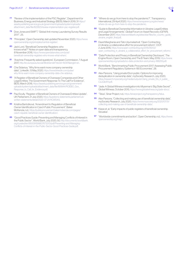- <span id="page-25-0"></span>[77](#page-15-0) "Review of the implementation of the PSC Register", Department for Business, Energy and Industrial Strategy (BEIS), March 2019, 31 [https://](https://assets.publishing.service.gov.uk/government/uploads/system/uploads/attachment_data/file/822823/review-implementation-psc-register.pdf) [assets.publishing.service.gov.uk/government/uploads/system/uploads/](https://assets.publishing.service.gov.uk/government/uploads/system/uploads/attachment_data/file/822823/review-implementation-psc-register.pdf) [attachment\\_data/file/822823/review-implementation-psc-register.pdf](https://assets.publishing.service.gov.uk/government/uploads/system/uploads/attachment_data/file/822823/review-implementation-psc-register.pdf).
- [78](#page-15-0) Dow Jones and SWIFT, "Global Anti-money Laundering Survey Results 2017", 25.
- [79](#page-16-0) "Principles", Open Ownership, last updated November 2020, [https://www.](https://www.openownership.org/principles/central-register/) [openownership.org/principles/central-register/](https://www.openownership.org/principles/central-register/).
- [80](#page-17-2) Jack Lord, "Beneficial Ownership Registers: who knows what?" Notes on open data and transparency, 8 November 2018, [https://www.opendatanotes.com/post/](https://www.opendatanotes.com/post/beneficial-ownership-registers-who-knows-what-when/) [beneficial-ownership-registers-who-knows-what-when/.](https://www.opendatanotes.com/post/beneficial-ownership-registers-who-knows-what-when/)
- [81](#page-17-2) "Arachne: Frequently asked questions", European Commission, 7 August 2017, <http://ec.europa.eu/social/BlobServlet?docId=15097&langId=en>.
- Che Sidanius, "Why firms want more company ownership data", LinkedIn, 13 May 2020, [https://www.linkedin.com/pulse/](https://www.linkedin.com/pulse/why-firms-want-more-company-ownership-data-che-sidanius) [why-firms-want-more-company-ownership-data-che-sidanius.](https://www.linkedin.com/pulse/why-firms-want-more-company-ownership-data-che-sidanius)
- [83](#page-17-2) <sup>"</sup>A Register of Beneficial Owners of Overseas Companies and Other Legal Entities: The Government Response To The Call For Evidence", BEIS, March 2018, [https://assets.publishing.service.gov.uk/government/](https://assets.publishing.service.gov.uk/government/uploads/system/uploads/attachment_data/file/681844/ROEBO_Gov_Response_to_Call_for_Evidence.pdf) uploads/system/uploads/attachment\_data/file/681844/ROEBO\_Gov Response to Call for Evidence.pdf.
- [84](#page-17-2) Paul Scully, "Register of Beneficial Owners of Overseas Entities Update", UK Parliament, 21 July 2020, [https://questions-statements.parliament.uk/](https://questions-statements.parliament.uk/written-statements/detail/2020-07-21/HCWS413) [written-statements/detail/2020-07-21/HCWS413.](https://questions-statements.parliament.uk/written-statements/detail/2020-07-21/HCWS413)
- [85](#page-17-2) Kristína Bartošková, "Amendment to Regulation of Beneficial Owner Identification in Czech Public Procurement", Baker McKenzie, n.d., [https://publicprocurement.bakermckenzie.com/pages/](https://publicprocurement.bakermckenzie.com/pages/czech-republic-beneficial-owner-identification/) [czech-republic-beneficial-owner-identification/.](https://publicprocurement.bakermckenzie.com/pages/czech-republic-beneficial-owner-identification/)
- [86](#page-17-2) "Good Practices Guide: Preventing and Managing Conflicts of Interest in the Public Sector", World Bank, July 2020, 50, [http://documents1.worldbank.](http://documents1.worldbank.org/curated/en/950091599837673013/pdf/Preventing-and-Managing-Conflicts-of-Interest-in-the-Public-Sector-Good-Practices-Guide.pdf) [org/curated/en/950091599837673013/pdf/Preventing-and-Managing-](http://documents1.worldbank.org/curated/en/950091599837673013/pdf/Preventing-and-Managing-Conflicts-of-Interest-in-the-Public-Sector-Good-Practices-Guide.pdf)[Conflicts-of-Interest-in-the-Public-Sector-Good-Practices-Guide.pdf.](http://documents1.worldbank.org/curated/en/950091599837673013/pdf/Preventing-and-Managing-Conflicts-of-Interest-in-the-Public-Sector-Good-Practices-Guide.pdf)
- [87](#page-18-0) "Where do we go from here to stop the pandemic?", Transparency International, 29 April 2020, [https://www.transparency.org/en/news/](https://www.transparency.org/en/news/where-do-we-go-from-here-to-stop-the-pandemic) [where-do-we-go-from-here-to-stop-the-pandemic](https://www.transparency.org/en/news/where-do-we-go-from-here-to-stop-the-pandemic).
- [88](#page-18-0) "Guide to Beneficial Ownership Information in Ukraine: Legal Entities and Legal Arrangements", Global Forum on Asset Recovery (GFAR), December 2017, https://star.worldbank.org/sites/star/files/bo\_country\_guide [ukraine\\_english\\_final.pdf.](https://star.worldbank.org/sites/star/files/bo_country_guide_ukraine_english_final.pdf)
- [89](#page-18-0) David Marghania and Tato Urjumelashvili, "Open Contracting in Ukraine: a collaborative effort for procurement reform", OCP, 2 June 2015, [https://www.open-contracting.org/2015/06/02/](https://www.open-contracting.org/2015/06/02/open_contracting_in_ukraine_a_collaborative_effort_for_procurement_reform/) [open\\_contracting\\_in\\_ukraine\\_a\\_collaborative\\_effort\\_for\\_procurement\\_reform/.](https://www.open-contracting.org/2015/06/02/open_contracting_in_ukraine_a_collaborative_effort_for_procurement_reform/)
- [90](#page-18-0) "Data Protection and Privacy in Beneficial Ownership Disclosure", The Engine Room, Open Ownership, and The B Team, May 2019, [https://www.](https://www.openownership.org/uploads/oo-data-protection-and-privacy-188205.pdf) [openownership.org/uploads/oo-data-protection-and-privacy-188205.pdf.](https://www.openownership.org/uploads/oo-data-protection-and-privacy-188205.pdf)
- [91](#page-18-0) World Bank, "Benchmarking Public Procurement 2017: Assessing Public Procurement Regulatory Systems in 180 Economies", 28.
- [92](#page-19-0) Alex Parsons, "Using private IDs in public: Options for improving deduplication in ownership data", mySociety Research, July 2020, https://research.mysociety.org/media/outputs/Using\_private\_IDs\_in\_public\_ [CwJQbXH.pdf](https://research.mysociety.org/media/outputs/Using_private_IDs_in_public__CwJQbXH.pdf).
- [93](#page-19-0) "Jade: A Global Witness investigation into Myanmar's 'Big State Secret'". Global Witness, October 2015,<https://www.globalwitness.org/jade-story/>.
- [94](#page-19-0) "Telus", Sinar Project, n.d., [https://sinarproject.org/transparency/telus.](https://sinarproject.org/transparency/telus)
- [95](#page-21-0) Alex Parsons, "Collecting and making use of beneficial ownership data", mySociety Research, July 2020, [https://www.mysociety.org/2020/07/31/](https://www.mysociety.org/2020/07/31/collecting-and-making-use-of-beneficial-ownership-data/) [collecting-and-making-use-of-beneficial-ownership-data/](https://www.mysociety.org/2020/07/31/collecting-and-making-use-of-beneficial-ownership-data/).
- [96](#page-21-0) Kiepe et. al, "Early impacts of public registers of beneficial ownership: Slovakia".
- [97](#page-22-0) "Worldwide commitments and action", Open Ownership, n.d., [https://www.](https://www.openownership.org/map/) [openownership.org/map/](https://www.openownership.org/map/).